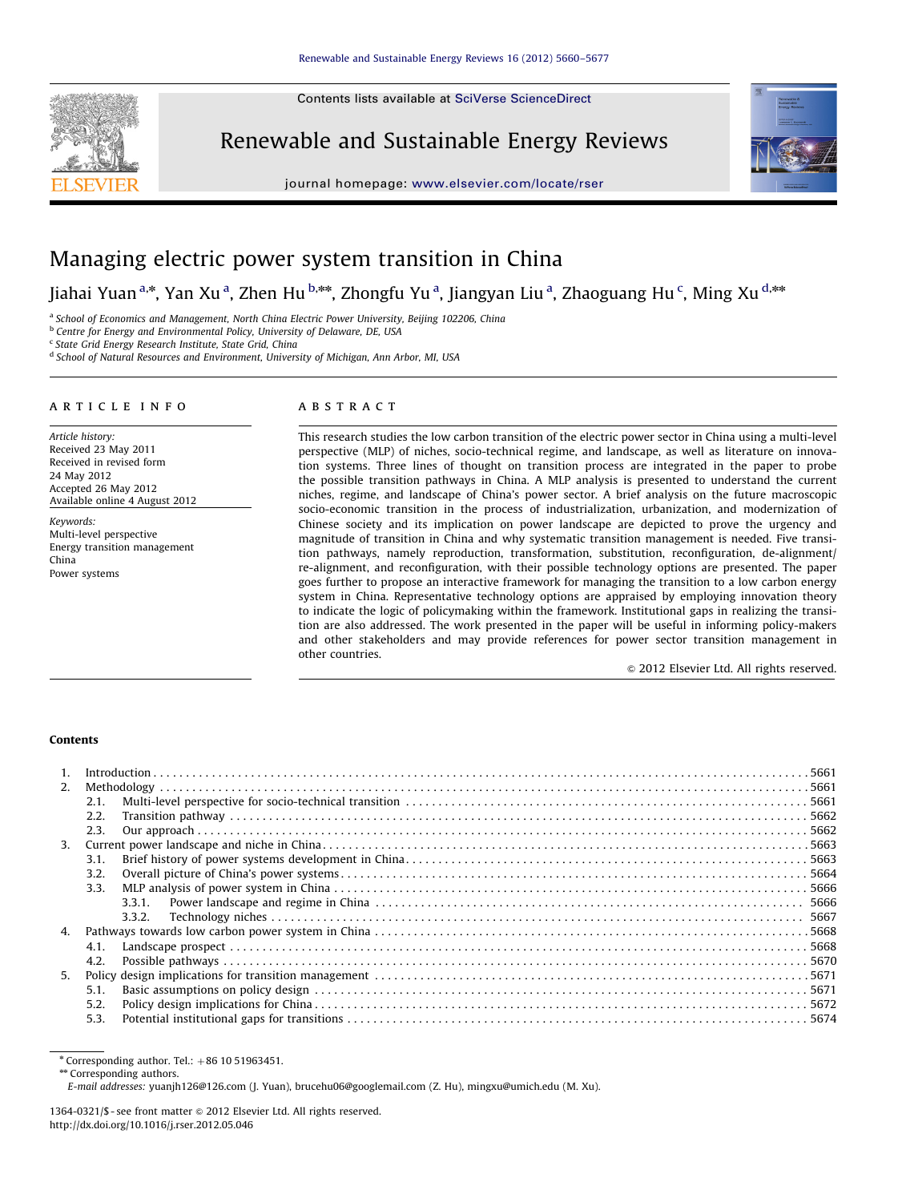Contents lists available at [SciVerse ScienceDirect](www.elsevier.com/locate/rser)



Renewable and Sustainable Energy Reviews





# Managing electric power system transition in China

Jiahai Yuan<sup>a,</sup>\*, Yan Xu <sup>a</sup>, Zhen Hu <sup>b,</sup>\*\*, Zhongfu Yu <sup>a</sup>, Jiangyan Liu <sup>a</sup>, Zhaoguang Hu <sup>c</sup>, Ming Xu <sup>d,</sup>\*\*

<sup>a</sup> School of Economics and Management, North China Electric Power University, Beijing 102206, China

b Centre for Energy and Environmental Policy, University of Delaware, DE, USA

<sup>c</sup> State Grid Energy Research Institute, State Grid, China

<sup>d</sup> School of Natural Resources and Environment, University of Michigan, Ann Arbor, MI, USA

## article info

Article history: Received 23 May 2011 Received in revised form 24 May 2012 Accepted 26 May 2012 Available online 4 August 2012

Keywords: Multi-level perspective Energy transition management China Power systems

## **ABSTRACT**

This research studies the low carbon transition of the electric power sector in China using a multi-level perspective (MLP) of niches, socio-technical regime, and landscape, as well as literature on innovation systems. Three lines of thought on transition process are integrated in the paper to probe the possible transition pathways in China. A MLP analysis is presented to understand the current niches, regime, and landscape of China's power sector. A brief analysis on the future macroscopic socio-economic transition in the process of industrialization, urbanization, and modernization of Chinese society and its implication on power landscape are depicted to prove the urgency and magnitude of transition in China and why systematic transition management is needed. Five transition pathways, namely reproduction, transformation, substitution, reconfiguration, de-alignment/ re-alignment, and reconfiguration, with their possible technology options are presented. The paper goes further to propose an interactive framework for managing the transition to a low carbon energy system in China. Representative technology options are appraised by employing innovation theory to indicate the logic of policymaking within the framework. Institutional gaps in realizing the transition are also addressed. The work presented in the paper will be useful in informing policy-makers and other stakeholders and may provide references for power sector transition management in other countries.

 $\odot$  2012 Elsevier Ltd. All rights reserved.

## Contents

| $\mathbf{1}$ . | $Introduction \dots 5661$ |  |
|----------------|---------------------------|--|
| 2.             |                           |  |
|                | 2.1.                      |  |
|                | 2.2.                      |  |
|                | 2.3.                      |  |
| 3.             |                           |  |
|                | 3.1.                      |  |
|                | 3.2.                      |  |
|                | 3.3.                      |  |
|                | 3.3.1.                    |  |
|                |                           |  |
| 4.             |                           |  |
|                | 4.1.                      |  |
|                | 4.2.                      |  |
| 5.             |                           |  |
|                | 5.1.                      |  |
|                | 5.2.                      |  |
|                | 5.3.                      |  |

 $*$  Corresponding author. Tel.:  $+86$  10 51963451.

<sup>\*\*</sup> Corresponding authors.

E-mail addresses: [yuanjh126@126.com \(J. Yuan\)](mailto:yuanjh126@126.com), [brucehu06@googlemail.com \(Z. Hu\),](mailto:brucehu06@googlemail.com) [mingxu@umich.edu \(M. Xu\)](mailto:mingxu@umich.edu).

<sup>1364-0321/\$ -</sup> see front matter @ 2012 Elsevier Ltd. All rights reserved. [http://dx.doi.org/10.1016/j.rser.2012.05.046](dx.doi.org/10.1016/j.rser.2012.05.046)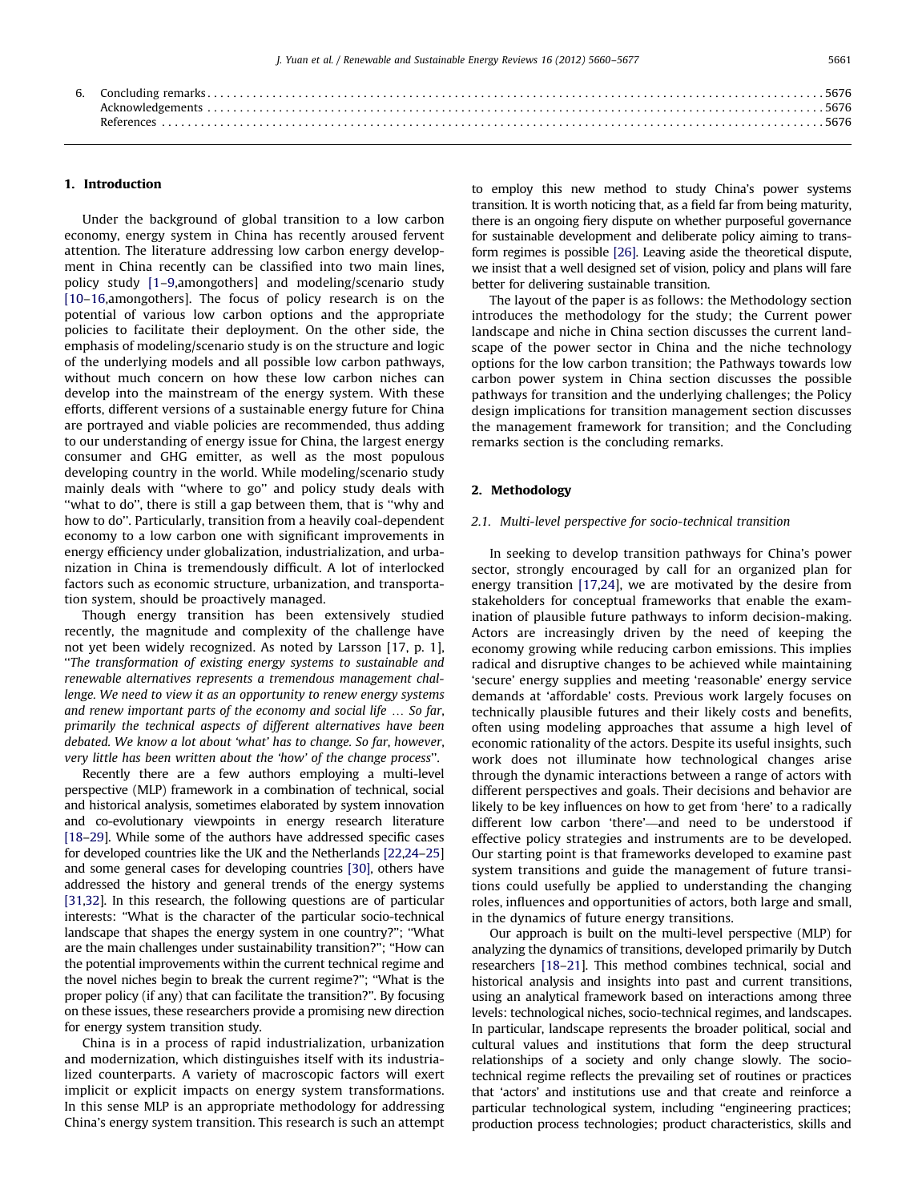## 1. Introduction

Under the background of global transition to a low carbon economy, energy system in China has recently aroused fervent attention. The literature addressing low carbon energy development in China recently can be classified into two main lines, policy study [\[1–9](#page-16-0),amongothers] and modeling/scenario study [\[10](#page-16-0)–[16,](#page-16-0)amongothers]. The focus of policy research is on the potential of various low carbon options and the appropriate policies to facilitate their deployment. On the other side, the emphasis of modeling/scenario study is on the structure and logic of the underlying models and all possible low carbon pathways, without much concern on how these low carbon niches can develop into the mainstream of the energy system. With these efforts, different versions of a sustainable energy future for China are portrayed and viable policies are recommended, thus adding to our understanding of energy issue for China, the largest energy consumer and GHG emitter, as well as the most populous developing country in the world. While modeling/scenario study mainly deals with ''where to go'' and policy study deals with ''what to do'', there is still a gap between them, that is ''why and how to do''. Particularly, transition from a heavily coal-dependent economy to a low carbon one with significant improvements in energy efficiency under globalization, industrialization, and urbanization in China is tremendously difficult. A lot of interlocked factors such as economic structure, urbanization, and transportation system, should be proactively managed.

Though energy transition has been extensively studied recently, the magnitude and complexity of the challenge have not yet been widely recognized. As noted by Larsson [17, p. 1], ''The transformation of existing energy systems to sustainable and renewable alternatives represents a tremendous management challenge. We need to view it as an opportunity to renew energy systems and renew important parts of the economy and social life  $\ldots$  So far, primarily the technical aspects of different alternatives have been debated. We know a lot about 'what' has to change. So far, however, very little has been written about the 'how' of the change process''.

Recently there are a few authors employing a multi-level perspective (MLP) framework in a combination of technical, social and historical analysis, sometimes elaborated by system innovation and co-evolutionary viewpoints in energy research literature [\[18](#page-16-0)[–29\]](#page-17-0). While some of the authors have addressed specific cases for developed countries like the UK and the Netherlands [\[22,24–25\]](#page-17-0) and some general cases for developing countries [\[30\],](#page-17-0) others have addressed the history and general trends of the energy systems [\[31,32\]](#page-17-0). In this research, the following questions are of particular interests: ''What is the character of the particular socio-technical landscape that shapes the energy system in one country?''; ''What are the main challenges under sustainability transition?''; ''How can the potential improvements within the current technical regime and the novel niches begin to break the current regime?''; ''What is the proper policy (if any) that can facilitate the transition?''. By focusing on these issues, these researchers provide a promising new direction for energy system transition study.

China is in a process of rapid industrialization, urbanization and modernization, which distinguishes itself with its industrialized counterparts. A variety of macroscopic factors will exert implicit or explicit impacts on energy system transformations. In this sense MLP is an appropriate methodology for addressing China's energy system transition. This research is such an attempt to employ this new method to study China's power systems transition. It is worth noticing that, as a field far from being maturity, there is an ongoing fiery dispute on whether purposeful governance for sustainable development and deliberate policy aiming to transform regimes is possible [\[26\].](#page-17-0) Leaving aside the theoretical dispute, we insist that a well designed set of vision, policy and plans will fare better for delivering sustainable transition.

The layout of the paper is as follows: the Methodology section introduces the methodology for the study; the Current power landscape and niche in China section discusses the current landscape of the power sector in China and the niche technology options for the low carbon transition; the Pathways towards low carbon power system in China section discusses the possible pathways for transition and the underlying challenges; the Policy design implications for transition management section discusses the management framework for transition; and the Concluding remarks section is the concluding remarks.

#### 2. Methodology

## 2.1. Multi-level perspective for socio-technical transition

In seeking to develop transition pathways for China's power sector, strongly encouraged by call for an organized plan for energy transition [\[17,](#page-16-0)[24](#page-17-0)], we are motivated by the desire from stakeholders for conceptual frameworks that enable the examination of plausible future pathways to inform decision-making. Actors are increasingly driven by the need of keeping the economy growing while reducing carbon emissions. This implies radical and disruptive changes to be achieved while maintaining 'secure' energy supplies and meeting 'reasonable' energy service demands at 'affordable' costs. Previous work largely focuses on technically plausible futures and their likely costs and benefits, often using modeling approaches that assume a high level of economic rationality of the actors. Despite its useful insights, such work does not illuminate how technological changes arise through the dynamic interactions between a range of actors with different perspectives and goals. Their decisions and behavior are likely to be key influences on how to get from 'here' to a radically different low carbon 'there'—and need to be understood if effective policy strategies and instruments are to be developed. Our starting point is that frameworks developed to examine past system transitions and guide the management of future transitions could usefully be applied to understanding the changing roles, influences and opportunities of actors, both large and small, in the dynamics of future energy transitions.

Our approach is built on the multi-level perspective (MLP) for analyzing the dynamics of transitions, developed primarily by Dutch researchers [\[18–](#page-16-0)[21\]](#page-17-0). This method combines technical, social and historical analysis and insights into past and current transitions, using an analytical framework based on interactions among three levels: technological niches, socio-technical regimes, and landscapes. In particular, landscape represents the broader political, social and cultural values and institutions that form the deep structural relationships of a society and only change slowly. The sociotechnical regime reflects the prevailing set of routines or practices that 'actors' and institutions use and that create and reinforce a particular technological system, including ''engineering practices; production process technologies; product characteristics, skills and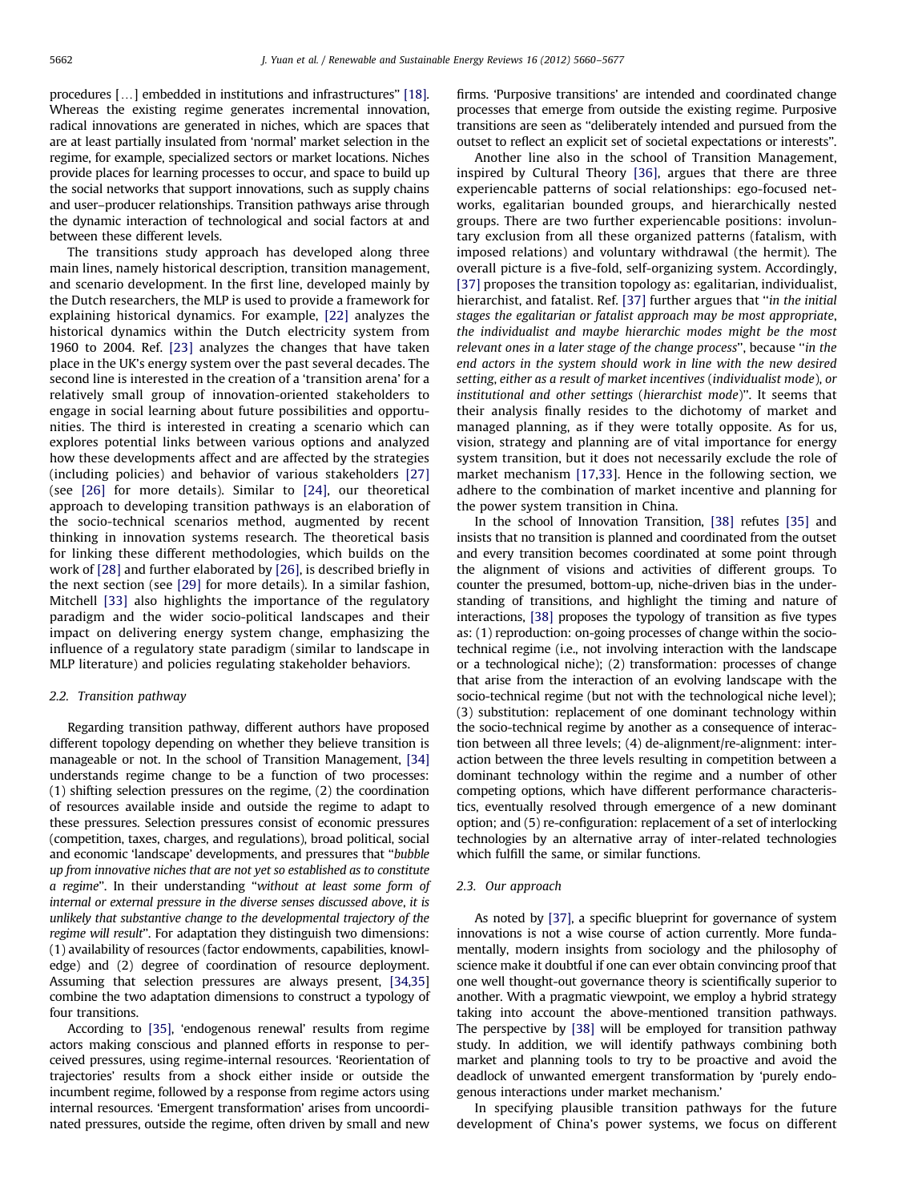procedures [...] embedded in institutions and infrastructures" [\[18\].](#page-16-0) Whereas the existing regime generates incremental innovation, radical innovations are generated in niches, which are spaces that are at least partially insulated from 'normal' market selection in the regime, for example, specialized sectors or market locations. Niches provide places for learning processes to occur, and space to build up the social networks that support innovations, such as supply chains and user–producer relationships. Transition pathways arise through the dynamic interaction of technological and social factors at and between these different levels.

The transitions study approach has developed along three main lines, namely historical description, transition management, and scenario development. In the first line, developed mainly by the Dutch researchers, the MLP is used to provide a framework for explaining historical dynamics. For example, [\[22\]](#page-17-0) analyzes the historical dynamics within the Dutch electricity system from 1960 to 2004. Ref. [\[23\]](#page-17-0) analyzes the changes that have taken place in the UK's energy system over the past several decades. The second line is interested in the creation of a 'transition arena' for a relatively small group of innovation-oriented stakeholders to engage in social learning about future possibilities and opportunities. The third is interested in creating a scenario which can explores potential links between various options and analyzed how these developments affect and are affected by the strategies (including policies) and behavior of various stakeholders [\[27\]](#page-17-0) (see [\[26\]](#page-17-0) for more details). Similar to [\[24\]](#page-17-0), our theoretical approach to developing transition pathways is an elaboration of the socio-technical scenarios method, augmented by recent thinking in innovation systems research. The theoretical basis for linking these different methodologies, which builds on the work of [\[28\]](#page-17-0) and further elaborated by [\[26\],](#page-17-0) is described briefly in the next section (see [\[29\]](#page-17-0) for more details). In a similar fashion, Mitchell [\[33\]](#page-17-0) also highlights the importance of the regulatory paradigm and the wider socio-political landscapes and their impact on delivering energy system change, emphasizing the influence of a regulatory state paradigm (similar to landscape in MLP literature) and policies regulating stakeholder behaviors.

## 2.2. Transition pathway

Regarding transition pathway, different authors have proposed different topology depending on whether they believe transition is manageable or not. In the school of Transition Management, [\[34\]](#page-17-0) understands regime change to be a function of two processes: (1) shifting selection pressures on the regime, (2) the coordination of resources available inside and outside the regime to adapt to these pressures. Selection pressures consist of economic pressures (competition, taxes, charges, and regulations), broad political, social and economic 'landscape' developments, and pressures that ''bubble up from innovative niches that are not yet so established as to constitute a regime''. In their understanding ''without at least some form of internal or external pressure in the diverse senses discussed above, it is unlikely that substantive change to the developmental trajectory of the regime will result''. For adaptation they distinguish two dimensions: (1) availability of resources (factor endowments, capabilities, knowledge) and (2) degree of coordination of resource deployment. Assuming that selection pressures are always present, [\[34,35\]](#page-17-0) combine the two adaptation dimensions to construct a typology of four transitions.

According to [\[35\]](#page-17-0), 'endogenous renewal' results from regime actors making conscious and planned efforts in response to perceived pressures, using regime-internal resources. 'Reorientation of trajectories' results from a shock either inside or outside the incumbent regime, followed by a response from regime actors using internal resources. 'Emergent transformation' arises from uncoordinated pressures, outside the regime, often driven by small and new firms. 'Purposive transitions' are intended and coordinated change processes that emerge from outside the existing regime. Purposive transitions are seen as ''deliberately intended and pursued from the outset to reflect an explicit set of societal expectations or interests''.

Another line also in the school of Transition Management, inspired by Cultural Theory [\[36\]](#page-17-0), argues that there are three experiencable patterns of social relationships: ego-focused networks, egalitarian bounded groups, and hierarchically nested groups. There are two further experiencable positions: involuntary exclusion from all these organized patterns (fatalism, with imposed relations) and voluntary withdrawal (the hermit). The overall picture is a five-fold, self-organizing system. Accordingly, [\[37\]](#page-17-0) proposes the transition topology as: egalitarian, individualist, hierarchist, and fatalist. Ref. [\[37\]](#page-17-0) further argues that "in the initial stages the egalitarian or fatalist approach may be most appropriate, the individualist and maybe hierarchic modes might be the most relevant ones in a later stage of the change process'', because ''in the end actors in the system should work in line with the new desired setting, either as a result of market incentives (individualist mode), or institutional and other settings (hierarchist mode)''. It seems that their analysis finally resides to the dichotomy of market and managed planning, as if they were totally opposite. As for us, vision, strategy and planning are of vital importance for energy system transition, but it does not necessarily exclude the role of market mechanism [\[17](#page-16-0)[,33\]](#page-17-0). Hence in the following section, we adhere to the combination of market incentive and planning for the power system transition in China.

In the school of Innovation Transition, [\[38\]](#page-17-0) refutes [\[35\]](#page-17-0) and insists that no transition is planned and coordinated from the outset and every transition becomes coordinated at some point through the alignment of visions and activities of different groups. To counter the presumed, bottom-up, niche-driven bias in the understanding of transitions, and highlight the timing and nature of interactions, [\[38\]](#page-17-0) proposes the typology of transition as five types as: (1) reproduction: on-going processes of change within the sociotechnical regime (i.e., not involving interaction with the landscape or a technological niche); (2) transformation: processes of change that arise from the interaction of an evolving landscape with the socio-technical regime (but not with the technological niche level); (3) substitution: replacement of one dominant technology within the socio-technical regime by another as a consequence of interaction between all three levels; (4) de-alignment/re-alignment: interaction between the three levels resulting in competition between a dominant technology within the regime and a number of other competing options, which have different performance characteristics, eventually resolved through emergence of a new dominant option; and (5) re-configuration: replacement of a set of interlocking technologies by an alternative array of inter-related technologies which fulfill the same, or similar functions.

#### 2.3. Our approach

As noted by [\[37\]](#page-17-0), a specific blueprint for governance of system innovations is not a wise course of action currently. More fundamentally, modern insights from sociology and the philosophy of science make it doubtful if one can ever obtain convincing proof that one well thought-out governance theory is scientifically superior to another. With a pragmatic viewpoint, we employ a hybrid strategy taking into account the above-mentioned transition pathways. The perspective by [\[38\]](#page-17-0) will be employed for transition pathway study. In addition, we will identify pathways combining both market and planning tools to try to be proactive and avoid the deadlock of unwanted emergent transformation by 'purely endogenous interactions under market mechanism.'

In specifying plausible transition pathways for the future development of China's power systems, we focus on different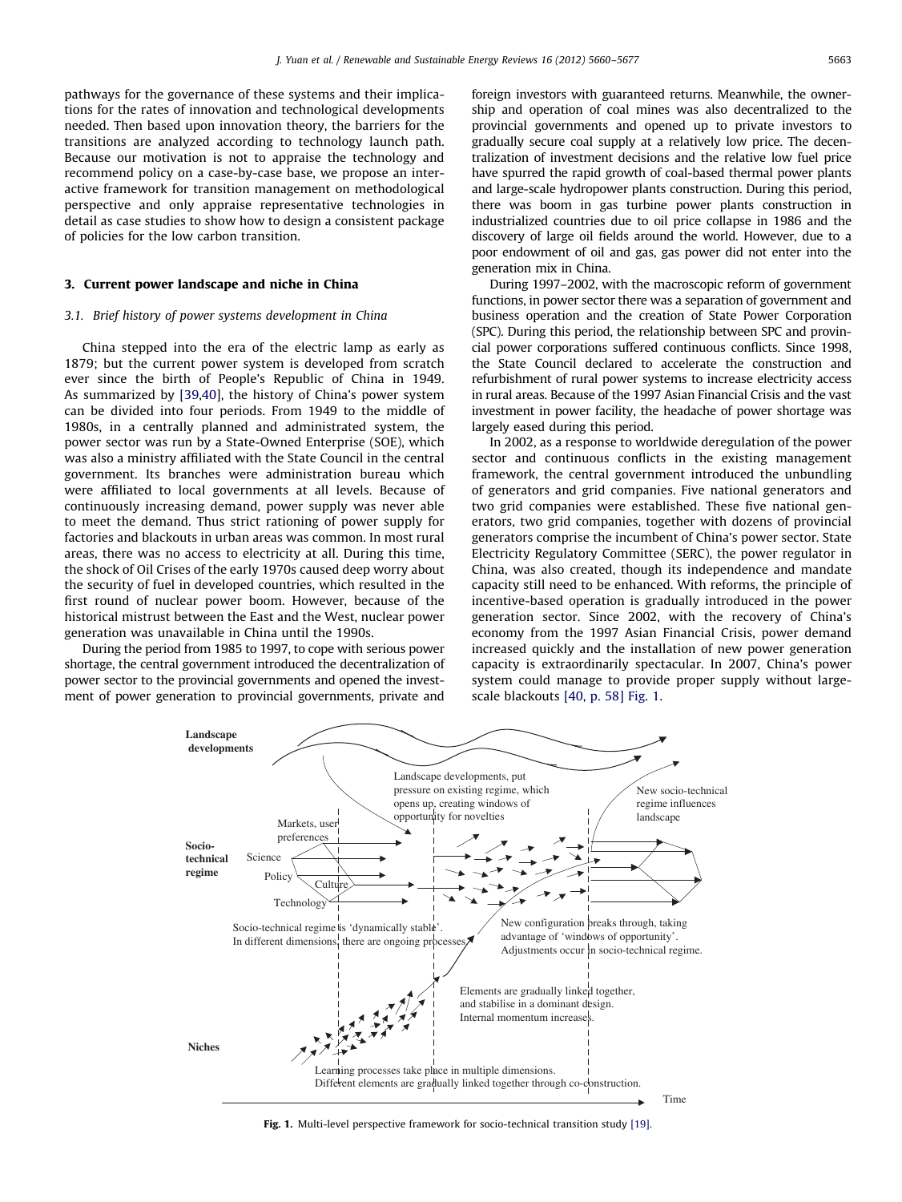pathways for the governance of these systems and their implications for the rates of innovation and technological developments needed. Then based upon innovation theory, the barriers for the transitions are analyzed according to technology launch path. Because our motivation is not to appraise the technology and recommend policy on a case-by-case base, we propose an interactive framework for transition management on methodological perspective and only appraise representative technologies in detail as case studies to show how to design a consistent package of policies for the low carbon transition.

### 3. Current power landscape and niche in China

## 3.1. Brief history of power systems development in China

China stepped into the era of the electric lamp as early as 1879; but the current power system is developed from scratch ever since the birth of People's Republic of China in 1949. As summarized by [\[39,40\]](#page-17-0), the history of China's power system can be divided into four periods. From 1949 to the middle of 1980s, in a centrally planned and administrated system, the power sector was run by a State-Owned Enterprise (SOE), which was also a ministry affiliated with the State Council in the central government. Its branches were administration bureau which were affiliated to local governments at all levels. Because of continuously increasing demand, power supply was never able to meet the demand. Thus strict rationing of power supply for factories and blackouts in urban areas was common. In most rural areas, there was no access to electricity at all. During this time, the shock of Oil Crises of the early 1970s caused deep worry about the security of fuel in developed countries, which resulted in the first round of nuclear power boom. However, because of the historical mistrust between the East and the West, nuclear power generation was unavailable in China until the 1990s.

During the period from 1985 to 1997, to cope with serious power shortage, the central government introduced the decentralization of power sector to the provincial governments and opened the investment of power generation to provincial governments, private and foreign investors with guaranteed returns. Meanwhile, the ownership and operation of coal mines was also decentralized to the provincial governments and opened up to private investors to gradually secure coal supply at a relatively low price. The decentralization of investment decisions and the relative low fuel price have spurred the rapid growth of coal-based thermal power plants and large-scale hydropower plants construction. During this period, there was boom in gas turbine power plants construction in industrialized countries due to oil price collapse in 1986 and the discovery of large oil fields around the world. However, due to a poor endowment of oil and gas, gas power did not enter into the generation mix in China.

During 1997–2002, with the macroscopic reform of government functions, in power sector there was a separation of government and business operation and the creation of State Power Corporation (SPC). During this period, the relationship between SPC and provincial power corporations suffered continuous conflicts. Since 1998, the State Council declared to accelerate the construction and refurbishment of rural power systems to increase electricity access in rural areas. Because of the 1997 Asian Financial Crisis and the vast investment in power facility, the headache of power shortage was largely eased during this period.

In 2002, as a response to worldwide deregulation of the power sector and continuous conflicts in the existing management framework, the central government introduced the unbundling of generators and grid companies. Five national generators and two grid companies were established. These five national generators, two grid companies, together with dozens of provincial generators comprise the incumbent of China's power sector. State Electricity Regulatory Committee (SERC), the power regulator in China, was also created, though its independence and mandate capacity still need to be enhanced. With reforms, the principle of incentive-based operation is gradually introduced in the power generation sector. Since 2002, with the recovery of China's economy from the 1997 Asian Financial Crisis, power demand increased quickly and the installation of new power generation capacity is extraordinarily spectacular. In 2007, China's power system could manage to provide proper supply without largescale blackouts [\[40, p. 58\]](#page-17-0) Fig. 1.



Fig. 1. Multi-level perspective framework for socio-technical transition study [\[19\]](#page-16-0).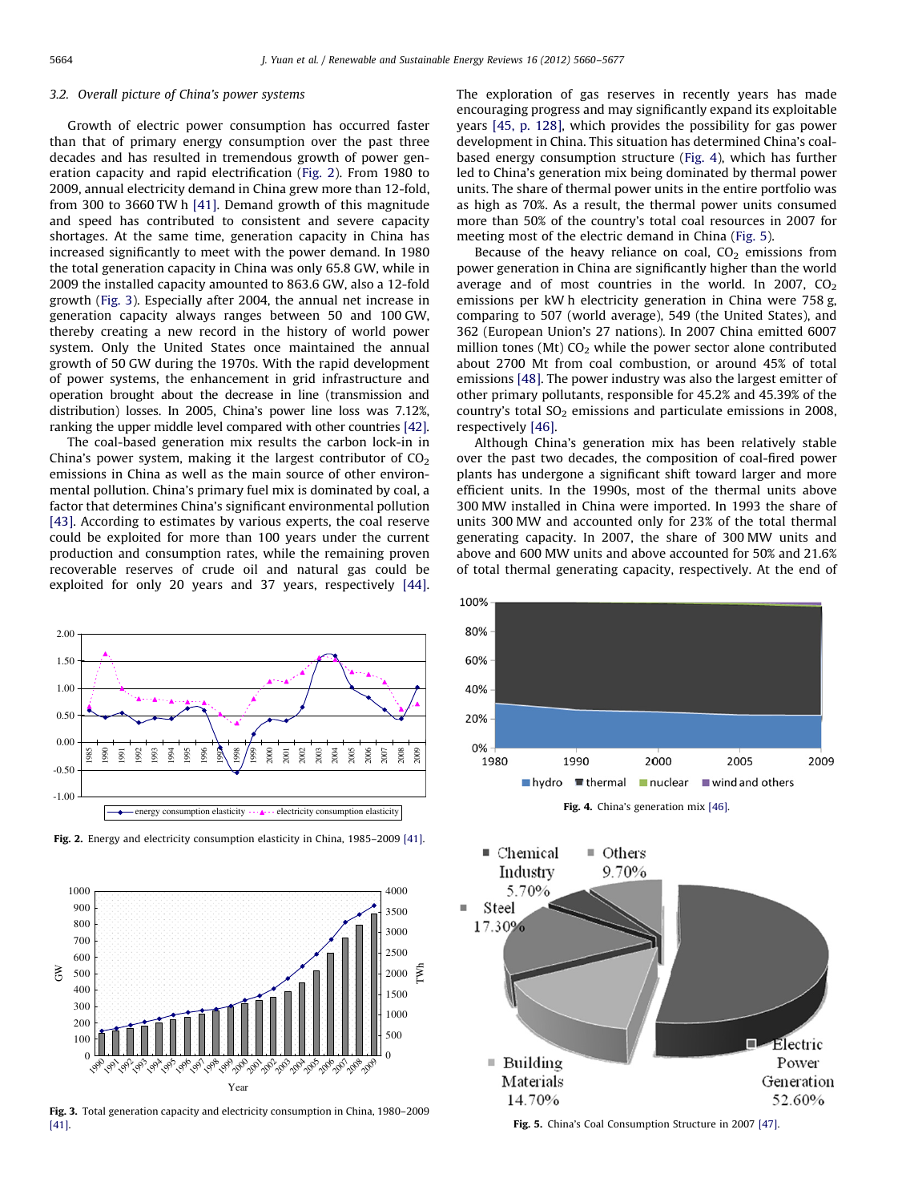## 3.2. Overall picture of China's power systems

Growth of electric power consumption has occurred faster than that of primary energy consumption over the past three decades and has resulted in tremendous growth of power generation capacity and rapid electrification (Fig. 2). From 1980 to 2009, annual electricity demand in China grew more than 12-fold, from 300 to 3660 TW h [\[41\]](#page-17-0). Demand growth of this magnitude and speed has contributed to consistent and severe capacity shortages. At the same time, generation capacity in China has increased significantly to meet with the power demand. In 1980 the total generation capacity in China was only 65.8 GW, while in 2009 the installed capacity amounted to 863.6 GW, also a 12-fold growth (Fig. 3). Especially after 2004, the annual net increase in generation capacity always ranges between 50 and 100 GW, thereby creating a new record in the history of world power system. Only the United States once maintained the annual growth of 50 GW during the 1970s. With the rapid development of power systems, the enhancement in grid infrastructure and operation brought about the decrease in line (transmission and distribution) losses. In 2005, China's power line loss was 7.12%, ranking the upper middle level compared with other countries [\[42\].](#page-17-0)

The coal-based generation mix results the carbon lock-in in China's power system, making it the largest contributor of  $CO<sub>2</sub>$ emissions in China as well as the main source of other environmental pollution. China's primary fuel mix is dominated by coal, a factor that determines China's significant environmental pollution [\[43\]](#page-17-0). According to estimates by various experts, the coal reserve could be exploited for more than 100 years under the current production and consumption rates, while the remaining proven recoverable reserves of crude oil and natural gas could be exploited for only 20 years and 37 years, respectively [\[44\].](#page-17-0)



Fig. 2. Energy and electricity consumption elasticity in China, 1985–2009 [\[41\]](#page-17-0).



Fig. 3. Total generation capacity and electricity consumption in China, 1980–2009 [\[41\]](#page-17-0).

The exploration of gas reserves in recently years has made encouraging progress and may significantly expand its exploitable years [\[45, p. 128\]](#page-17-0), which provides the possibility for gas power development in China. This situation has determined China's coalbased energy consumption structure (Fig. 4), which has further led to China's generation mix being dominated by thermal power units. The share of thermal power units in the entire portfolio was as high as 70%. As a result, the thermal power units consumed more than 50% of the country's total coal resources in 2007 for meeting most of the electric demand in China (Fig. 5).

Because of the heavy reliance on coal,  $CO<sub>2</sub>$  emissions from power generation in China are significantly higher than the world average and of most countries in the world. In 2007,  $CO<sub>2</sub>$ emissions per kW h electricity generation in China were 758 g, comparing to 507 (world average), 549 (the United States), and 362 (European Union's 27 nations). In 2007 China emitted 6007 million tones (Mt)  $CO<sub>2</sub>$  while the power sector alone contributed about 2700 Mt from coal combustion, or around 45% of total emissions [\[48\]](#page-17-0). The power industry was also the largest emitter of other primary pollutants, responsible for 45.2% and 45.39% of the country's total  $SO<sub>2</sub>$  emissions and particulate emissions in 2008, respectively [\[46\]](#page-17-0).

Although China's generation mix has been relatively stable over the past two decades, the composition of coal-fired power plants has undergone a significant shift toward larger and more efficient units. In the 1990s, most of the thermal units above 300 MW installed in China were imported. In 1993 the share of units 300 MW and accounted only for 23% of the total thermal generating capacity. In 2007, the share of 300 MW units and above and 600 MW units and above accounted for 50% and 21.6% of total thermal generating capacity, respectively. At the end of



Fig. 5. China's Coal Consumption Structure in 2007 [\[47\].](#page-17-0)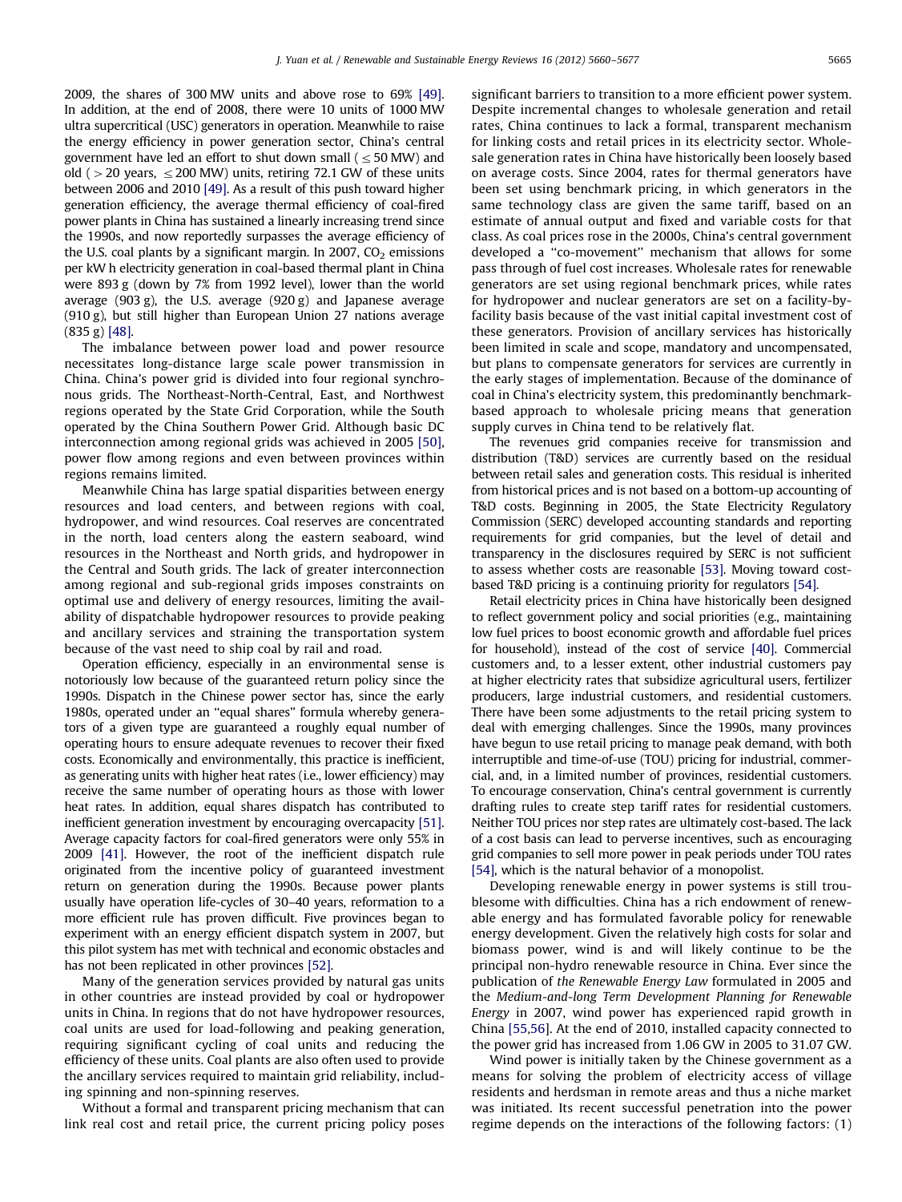2009, the shares of 300 MW units and above rose to 69% [\[49\].](#page-17-0) In addition, at the end of 2008, there were 10 units of 1000 MW ultra supercritical (USC) generators in operation. Meanwhile to raise the energy efficiency in power generation sector, China's central government have led an effort to shut down small ( $\leq$  50 MW) and old ( $>$  20 years,  $\leq$  200 MW) units, retiring 72.1 GW of these units between 2006 and 2010 [\[49\].](#page-17-0) As a result of this push toward higher generation efficiency, the average thermal efficiency of coal-fired power plants in China has sustained a linearly increasing trend since the 1990s, and now reportedly surpasses the average efficiency of the U.S. coal plants by a significant margin. In 2007,  $CO<sub>2</sub>$  emissions per kW h electricity generation in coal-based thermal plant in China were 893 g (down by 7% from 1992 level), lower than the world average (903 g), the U.S. average (920 g) and Japanese average (910 g), but still higher than European Union 27 nations average (835 g) [\[48\].](#page-17-0)

The imbalance between power load and power resource necessitates long-distance large scale power transmission in China. China's power grid is divided into four regional synchronous grids. The Northeast-North-Central, East, and Northwest regions operated by the State Grid Corporation, while the South operated by the China Southern Power Grid. Although basic DC interconnection among regional grids was achieved in 2005 [\[50\],](#page-17-0) power flow among regions and even between provinces within regions remains limited.

Meanwhile China has large spatial disparities between energy resources and load centers, and between regions with coal, hydropower, and wind resources. Coal reserves are concentrated in the north, load centers along the eastern seaboard, wind resources in the Northeast and North grids, and hydropower in the Central and South grids. The lack of greater interconnection among regional and sub-regional grids imposes constraints on optimal use and delivery of energy resources, limiting the availability of dispatchable hydropower resources to provide peaking and ancillary services and straining the transportation system because of the vast need to ship coal by rail and road.

Operation efficiency, especially in an environmental sense is notoriously low because of the guaranteed return policy since the 1990s. Dispatch in the Chinese power sector has, since the early 1980s, operated under an ''equal shares'' formula whereby generators of a given type are guaranteed a roughly equal number of operating hours to ensure adequate revenues to recover their fixed costs. Economically and environmentally, this practice is inefficient, as generating units with higher heat rates (i.e., lower efficiency) may receive the same number of operating hours as those with lower heat rates. In addition, equal shares dispatch has contributed to inefficient generation investment by encouraging overcapacity [\[51\].](#page-17-0) Average capacity factors for coal-fired generators were only 55% in 2009 [\[41\].](#page-17-0) However, the root of the inefficient dispatch rule originated from the incentive policy of guaranteed investment return on generation during the 1990s. Because power plants usually have operation life-cycles of 30–40 years, reformation to a more efficient rule has proven difficult. Five provinces began to experiment with an energy efficient dispatch system in 2007, but this pilot system has met with technical and economic obstacles and has not been replicated in other provinces [\[52\]](#page-17-0).

Many of the generation services provided by natural gas units in other countries are instead provided by coal or hydropower units in China. In regions that do not have hydropower resources, coal units are used for load-following and peaking generation, requiring significant cycling of coal units and reducing the efficiency of these units. Coal plants are also often used to provide the ancillary services required to maintain grid reliability, including spinning and non-spinning reserves.

Without a formal and transparent pricing mechanism that can link real cost and retail price, the current pricing policy poses significant barriers to transition to a more efficient power system. Despite incremental changes to wholesale generation and retail rates, China continues to lack a formal, transparent mechanism for linking costs and retail prices in its electricity sector. Wholesale generation rates in China have historically been loosely based on average costs. Since 2004, rates for thermal generators have been set using benchmark pricing, in which generators in the same technology class are given the same tariff, based on an estimate of annual output and fixed and variable costs for that class. As coal prices rose in the 2000s, China's central government developed a ''co-movement'' mechanism that allows for some pass through of fuel cost increases. Wholesale rates for renewable generators are set using regional benchmark prices, while rates for hydropower and nuclear generators are set on a facility-byfacility basis because of the vast initial capital investment cost of these generators. Provision of ancillary services has historically been limited in scale and scope, mandatory and uncompensated, but plans to compensate generators for services are currently in the early stages of implementation. Because of the dominance of coal in China's electricity system, this predominantly benchmarkbased approach to wholesale pricing means that generation supply curves in China tend to be relatively flat.

The revenues grid companies receive for transmission and distribution (T&D) services are currently based on the residual between retail sales and generation costs. This residual is inherited from historical prices and is not based on a bottom-up accounting of T&D costs. Beginning in 2005, the State Electricity Regulatory Commission (SERC) developed accounting standards and reporting requirements for grid companies, but the level of detail and transparency in the disclosures required by SERC is not sufficient to assess whether costs are reasonable [\[53\].](#page-17-0) Moving toward costbased T&D pricing is a continuing priority for regulators [\[54\]](#page-17-0).

Retail electricity prices in China have historically been designed to reflect government policy and social priorities (e.g., maintaining low fuel prices to boost economic growth and affordable fuel prices for household), instead of the cost of service [\[40\]](#page-17-0). Commercial customers and, to a lesser extent, other industrial customers pay at higher electricity rates that subsidize agricultural users, fertilizer producers, large industrial customers, and residential customers. There have been some adjustments to the retail pricing system to deal with emerging challenges. Since the 1990s, many provinces have begun to use retail pricing to manage peak demand, with both interruptible and time-of-use (TOU) pricing for industrial, commercial, and, in a limited number of provinces, residential customers. To encourage conservation, China's central government is currently drafting rules to create step tariff rates for residential customers. Neither TOU prices nor step rates are ultimately cost-based. The lack of a cost basis can lead to perverse incentives, such as encouraging grid companies to sell more power in peak periods under TOU rates [\[54\],](#page-17-0) which is the natural behavior of a monopolist.

Developing renewable energy in power systems is still troublesome with difficulties. China has a rich endowment of renewable energy and has formulated favorable policy for renewable energy development. Given the relatively high costs for solar and biomass power, wind is and will likely continue to be the principal non-hydro renewable resource in China. Ever since the publication of the Renewable Energy Law formulated in 2005 and the Medium-and-long Term Development Planning for Renewable Energy in 2007, wind power has experienced rapid growth in China [\[55,56](#page-17-0)]. At the end of 2010, installed capacity connected to the power grid has increased from 1.06 GW in 2005 to 31.07 GW.

Wind power is initially taken by the Chinese government as a means for solving the problem of electricity access of village residents and herdsman in remote areas and thus a niche market was initiated. Its recent successful penetration into the power regime depends on the interactions of the following factors: (1)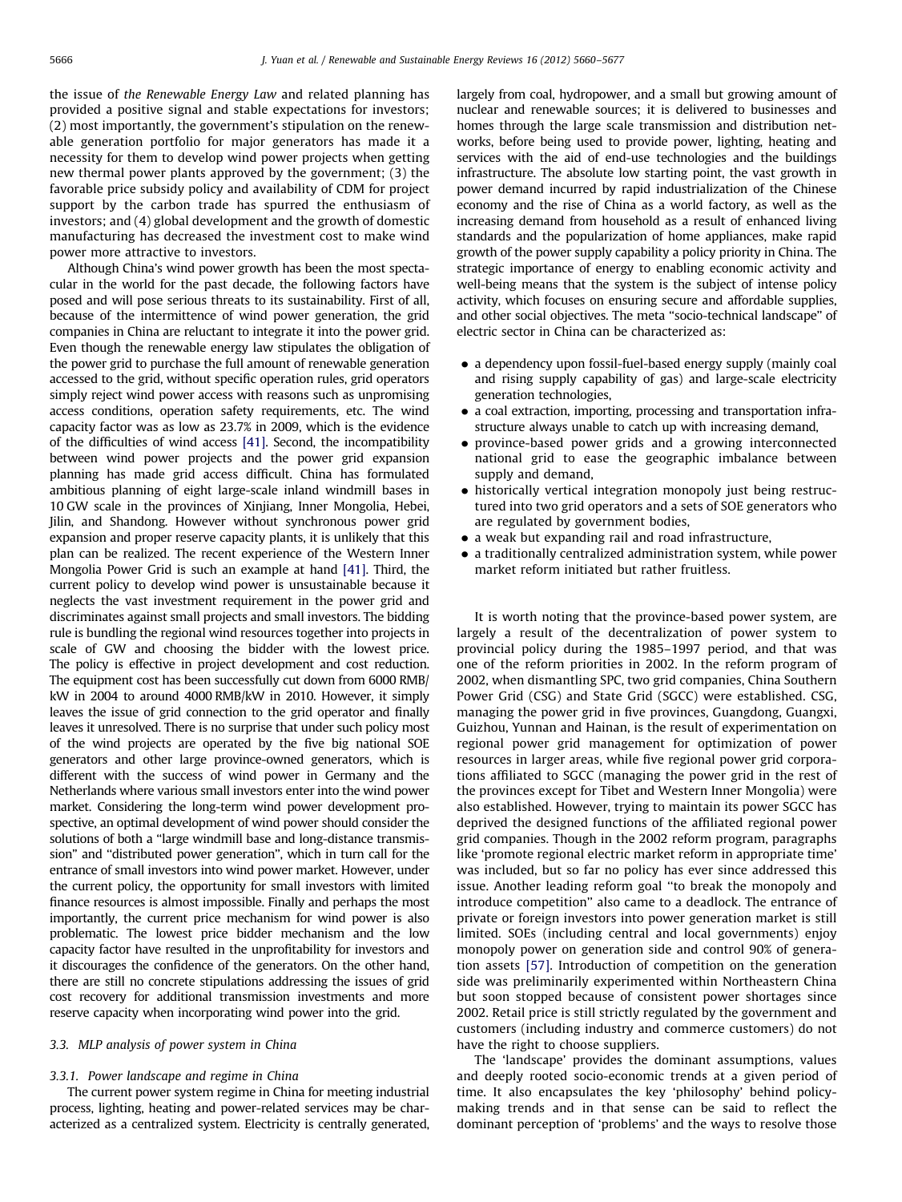the issue of the Renewable Energy Law and related planning has provided a positive signal and stable expectations for investors; (2) most importantly, the government's stipulation on the renewable generation portfolio for major generators has made it a necessity for them to develop wind power projects when getting new thermal power plants approved by the government; (3) the favorable price subsidy policy and availability of CDM for project support by the carbon trade has spurred the enthusiasm of investors; and (4) global development and the growth of domestic manufacturing has decreased the investment cost to make wind power more attractive to investors.

Although China's wind power growth has been the most spectacular in the world for the past decade, the following factors have posed and will pose serious threats to its sustainability. First of all, because of the intermittence of wind power generation, the grid companies in China are reluctant to integrate it into the power grid. Even though the renewable energy law stipulates the obligation of the power grid to purchase the full amount of renewable generation accessed to the grid, without specific operation rules, grid operators simply reject wind power access with reasons such as unpromising access conditions, operation safety requirements, etc. The wind capacity factor was as low as 23.7% in 2009, which is the evidence of the difficulties of wind access [\[41\]](#page-17-0). Second, the incompatibility between wind power projects and the power grid expansion planning has made grid access difficult. China has formulated ambitious planning of eight large-scale inland windmill bases in 10 GW scale in the provinces of Xinjiang, Inner Mongolia, Hebei, Jilin, and Shandong. However without synchronous power grid expansion and proper reserve capacity plants, it is unlikely that this plan can be realized. The recent experience of the Western Inner Mongolia Power Grid is such an example at hand [\[41\].](#page-17-0) Third, the current policy to develop wind power is unsustainable because it neglects the vast investment requirement in the power grid and discriminates against small projects and small investors. The bidding rule is bundling the regional wind resources together into projects in scale of GW and choosing the bidder with the lowest price. The policy is effective in project development and cost reduction. The equipment cost has been successfully cut down from 6000 RMB/ kW in 2004 to around 4000 RMB/kW in 2010. However, it simply leaves the issue of grid connection to the grid operator and finally leaves it unresolved. There is no surprise that under such policy most of the wind projects are operated by the five big national SOE generators and other large province-owned generators, which is different with the success of wind power in Germany and the Netherlands where various small investors enter into the wind power market. Considering the long-term wind power development prospective, an optimal development of wind power should consider the solutions of both a ''large windmill base and long-distance transmission'' and ''distributed power generation'', which in turn call for the entrance of small investors into wind power market. However, under the current policy, the opportunity for small investors with limited finance resources is almost impossible. Finally and perhaps the most importantly, the current price mechanism for wind power is also problematic. The lowest price bidder mechanism and the low capacity factor have resulted in the unprofitability for investors and it discourages the confidence of the generators. On the other hand, there are still no concrete stipulations addressing the issues of grid cost recovery for additional transmission investments and more reserve capacity when incorporating wind power into the grid.

#### 3.3. MLP analysis of power system in China

#### 3.3.1. Power landscape and regime in China

The current power system regime in China for meeting industrial process, lighting, heating and power-related services may be characterized as a centralized system. Electricity is centrally generated, largely from coal, hydropower, and a small but growing amount of nuclear and renewable sources; it is delivered to businesses and homes through the large scale transmission and distribution networks, before being used to provide power, lighting, heating and services with the aid of end-use technologies and the buildings infrastructure. The absolute low starting point, the vast growth in power demand incurred by rapid industrialization of the Chinese economy and the rise of China as a world factory, as well as the increasing demand from household as a result of enhanced living standards and the popularization of home appliances, make rapid growth of the power supply capability a policy priority in China. The strategic importance of energy to enabling economic activity and well-being means that the system is the subject of intense policy activity, which focuses on ensuring secure and affordable supplies, and other social objectives. The meta ''socio-technical landscape'' of electric sector in China can be characterized as:

- a dependency upon fossil-fuel-based energy supply (mainly coal and rising supply capability of gas) and large-scale electricity generation technologies,
- a coal extraction, importing, processing and transportation infrastructure always unable to catch up with increasing demand,
- province-based power grids and a growing interconnected national grid to ease the geographic imbalance between supply and demand,
- historically vertical integration monopoly just being restructured into two grid operators and a sets of SOE generators who are regulated by government bodies,
- a weak but expanding rail and road infrastructure,
- $\bullet$  a traditionally centralized administration system, while power market reform initiated but rather fruitless.

It is worth noting that the province-based power system, are largely a result of the decentralization of power system to provincial policy during the 1985–1997 period, and that was one of the reform priorities in 2002. In the reform program of 2002, when dismantling SPC, two grid companies, China Southern Power Grid (CSG) and State Grid (SGCC) were established. CSG, managing the power grid in five provinces, Guangdong, Guangxi, Guizhou, Yunnan and Hainan, is the result of experimentation on regional power grid management for optimization of power resources in larger areas, while five regional power grid corporations affiliated to SGCC (managing the power grid in the rest of the provinces except for Tibet and Western Inner Mongolia) were also established. However, trying to maintain its power SGCC has deprived the designed functions of the affiliated regional power grid companies. Though in the 2002 reform program, paragraphs like 'promote regional electric market reform in appropriate time' was included, but so far no policy has ever since addressed this issue. Another leading reform goal ''to break the monopoly and introduce competition'' also came to a deadlock. The entrance of private or foreign investors into power generation market is still limited. SOEs (including central and local governments) enjoy monopoly power on generation side and control 90% of generation assets [\[57\]](#page-17-0). Introduction of competition on the generation side was preliminarily experimented within Northeastern China but soon stopped because of consistent power shortages since 2002. Retail price is still strictly regulated by the government and customers (including industry and commerce customers) do not have the right to choose suppliers.

The 'landscape' provides the dominant assumptions, values and deeply rooted socio-economic trends at a given period of time. It also encapsulates the key 'philosophy' behind policymaking trends and in that sense can be said to reflect the dominant perception of 'problems' and the ways to resolve those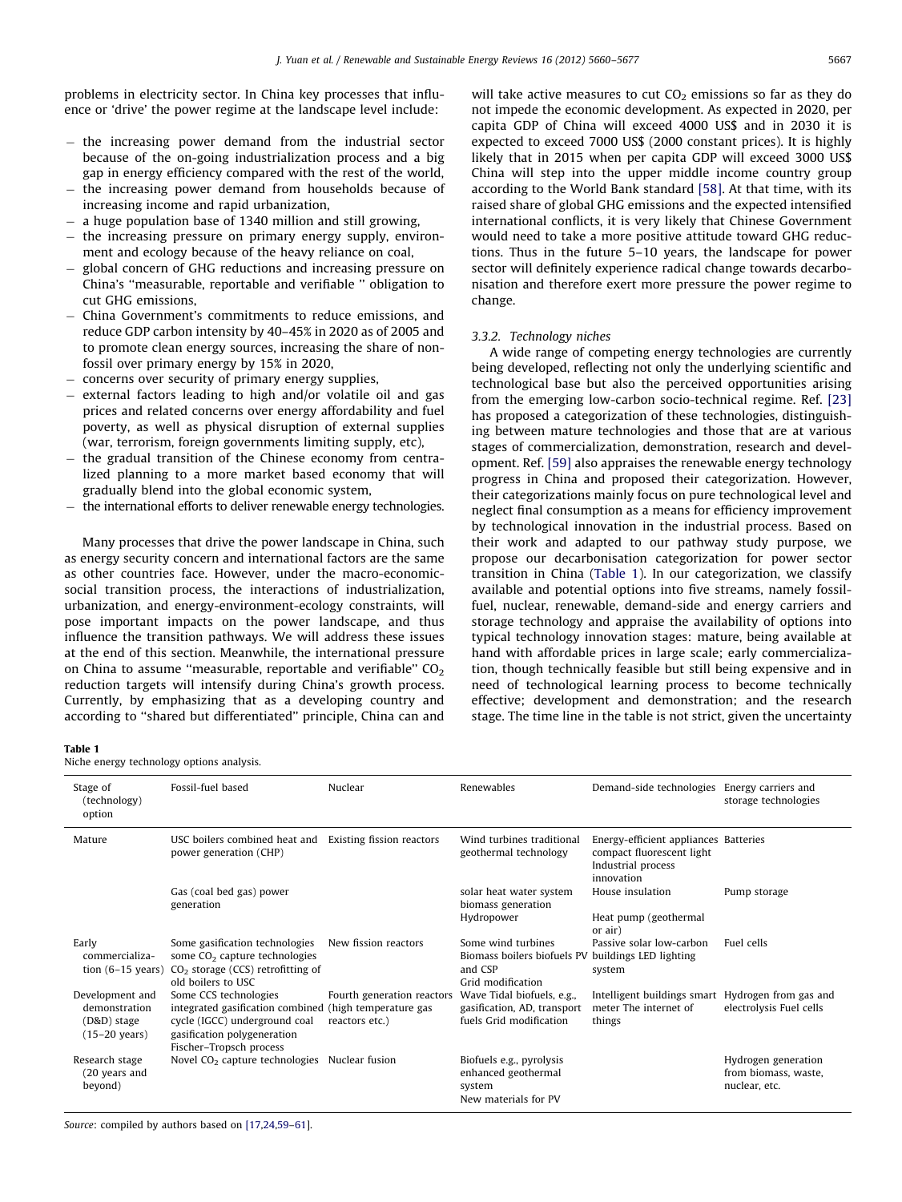<span id="page-7-0"></span>problems in electricity sector. In China key processes that influence or 'drive' the power regime at the landscape level include:

- $-$  the increasing power demand from the industrial sector because of the on-going industrialization process and a big gap in energy efficiency compared with the rest of the world,
- the increasing power demand from households because of increasing income and rapid urbanization,
- a huge population base of 1340 million and still growing,
- the increasing pressure on primary energy supply, environment and ecology because of the heavy reliance on coal,
- global concern of GHG reductions and increasing pressure on China's ''measurable, reportable and verifiable '' obligation to cut GHG emissions,
- China Government's commitments to reduce emissions, and reduce GDP carbon intensity by 40–45% in 2020 as of 2005 and to promote clean energy sources, increasing the share of nonfossil over primary energy by 15% in 2020,
- $-$  concerns over security of primary energy supplies,
- $-$  external factors leading to high and/or volatile oil and gas prices and related concerns over energy affordability and fuel poverty, as well as physical disruption of external supplies (war, terrorism, foreign governments limiting supply, etc),
- the gradual transition of the Chinese economy from centralized planning to a more market based economy that will gradually blend into the global economic system,
- $-$  the international efforts to deliver renewable energy technologies.

Many processes that drive the power landscape in China, such as energy security concern and international factors are the same as other countries face. However, under the macro-economicsocial transition process, the interactions of industrialization, urbanization, and energy-environment-ecology constraints, will pose important impacts on the power landscape, and thus influence the transition pathways. We will address these issues at the end of this section. Meanwhile, the international pressure on China to assume "measurable, reportable and verifiable"  $CO<sub>2</sub>$ reduction targets will intensify during China's growth process. Currently, by emphasizing that as a developing country and according to ''shared but differentiated'' principle, China can and will take active measures to cut  $CO<sub>2</sub>$  emissions so far as they do not impede the economic development. As expected in 2020, per capita GDP of China will exceed 4000 US\$ and in 2030 it is expected to exceed 7000 US\$ (2000 constant prices). It is highly likely that in 2015 when per capita GDP will exceed 3000 US\$ China will step into the upper middle income country group according to the World Bank standard [\[58\].](#page-17-0) At that time, with its raised share of global GHG emissions and the expected intensified international conflicts, it is very likely that Chinese Government would need to take a more positive attitude toward GHG reductions. Thus in the future 5–10 years, the landscape for power sector will definitely experience radical change towards decarbonisation and therefore exert more pressure the power regime to change.

## 3.3.2. Technology niches

A wide range of competing energy technologies are currently being developed, reflecting not only the underlying scientific and technological base but also the perceived opportunities arising from the emerging low-carbon socio-technical regime. Ref. [\[23\]](#page-17-0) has proposed a categorization of these technologies, distinguishing between mature technologies and those that are at various stages of commercialization, demonstration, research and development. Ref. [\[59\]](#page-17-0) also appraises the renewable energy technology progress in China and proposed their categorization. However, their categorizations mainly focus on pure technological level and neglect final consumption as a means for efficiency improvement by technological innovation in the industrial process. Based on their work and adapted to our pathway study purpose, we propose our decarbonisation categorization for power sector transition in China (Table 1). In our categorization, we classify available and potential options into five streams, namely fossilfuel, nuclear, renewable, demand-side and energy carriers and storage technology and appraise the availability of options into typical technology innovation stages: mature, being available at hand with affordable prices in large scale; early commercialization, though technically feasible but still being expensive and in need of technological learning process to become technically effective; development and demonstration; and the research stage. The time line in the table is not strict, given the uncertainty

Table 1

Niche energy technology options analysis.

| Stage of<br>(technology)<br>option                                         | Fossil-fuel based                                                                                                                                                          | Nuclear                                      | Renewables                                                                                               | Demand-side technologies                                                                               | Energy carriers and<br>storage technologies                  |
|----------------------------------------------------------------------------|----------------------------------------------------------------------------------------------------------------------------------------------------------------------------|----------------------------------------------|----------------------------------------------------------------------------------------------------------|--------------------------------------------------------------------------------------------------------|--------------------------------------------------------------|
| Mature                                                                     | USC boilers combined heat and<br>power generation (CHP)                                                                                                                    | Existing fission reactors                    | Wind turbines traditional<br>geothermal technology                                                       | Energy-efficient appliances Batteries<br>compact fluorescent light<br>Industrial process<br>innovation |                                                              |
|                                                                            | Gas (coal bed gas) power<br>generation                                                                                                                                     |                                              | solar heat water system<br>biomass generation<br>Hydropower                                              | House insulation<br>Heat pump (geothermal<br>or air)                                                   | Pump storage                                                 |
| Early<br>commercializa-<br>tion $(6-15 \text{ years})$                     | Some gasification technologies<br>some $CO2$ capture technologies<br>$CO2$ storage (CCS) retrofitting of<br>old boilers to USC                                             | New fission reactors                         | Some wind turbines<br>Biomass boilers biofuels PV buildings LED lighting<br>and CSP<br>Grid modification | Passive solar low-carbon<br>system                                                                     | Fuel cells                                                   |
| Development and<br>demonstration<br>(D&D) stage<br>$(15-20 \text{ years})$ | Some CCS technologies<br>integrated gasification combined (high temperature gas<br>cycle (IGCC) underground coal<br>gasification polygeneration<br>Fischer-Tropsch process | Fourth generation reactors<br>reactors etc.) | Wave Tidal biofuels, e.g.,<br>gasification, AD, transport<br>fuels Grid modification                     | Intelligent buildings smart Hydrogen from gas and<br>meter The internet of<br>things                   | electrolysis Fuel cells                                      |
| Research stage<br>(20 years and<br>beyond)                                 | Novel CO <sub>2</sub> capture technologies                                                                                                                                 | Nuclear fusion                               | Biofuels e.g., pyrolysis<br>enhanced geothermal<br>system<br>New materials for PV                        |                                                                                                        | Hydrogen generation<br>from biomass, waste,<br>nuclear, etc. |

Source: compiled by authors based on [\[17](#page-16-0),24,59-61].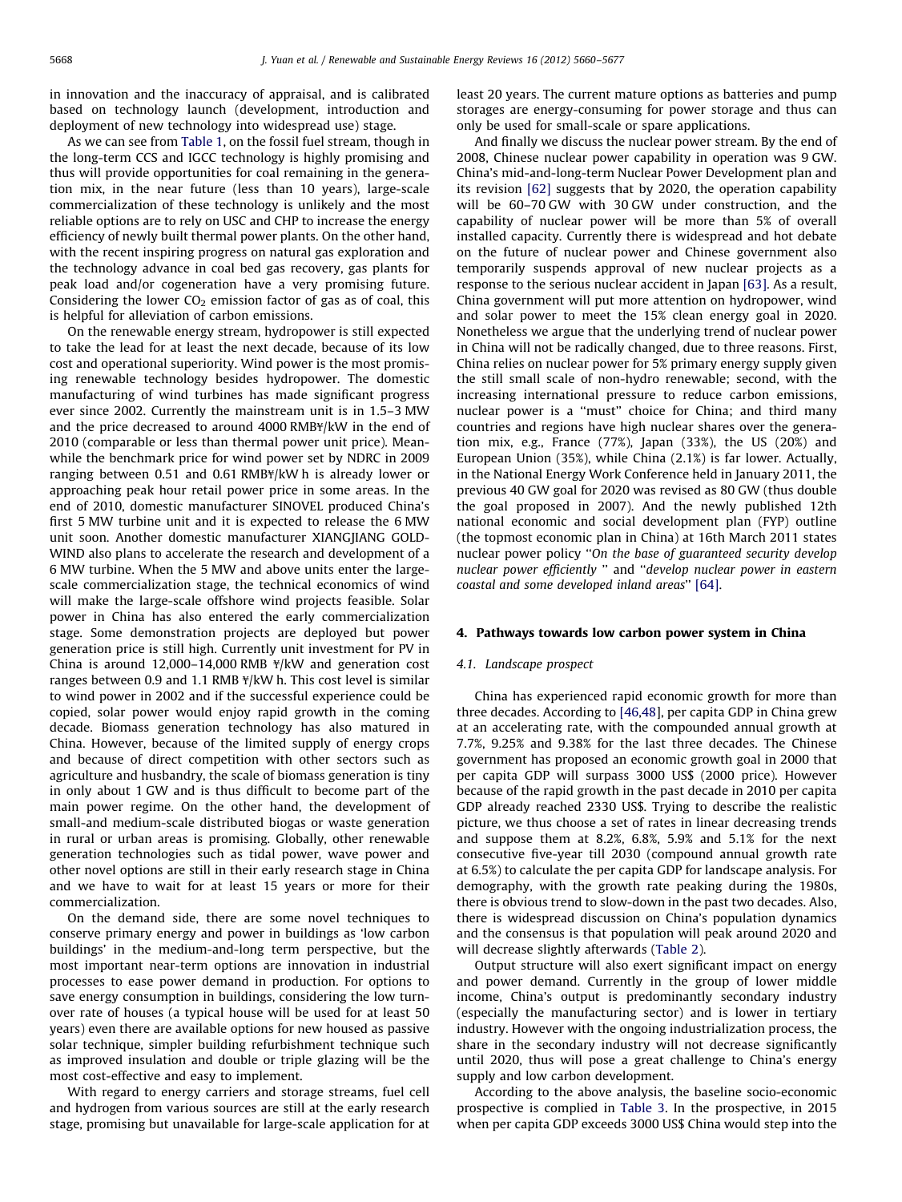in innovation and the inaccuracy of appraisal, and is calibrated based on technology launch (development, introduction and deployment of new technology into widespread use) stage.

As we can see from [Table 1](#page-7-0), on the fossil fuel stream, though in the long-term CCS and IGCC technology is highly promising and thus will provide opportunities for coal remaining in the generation mix, in the near future (less than 10 years), large-scale commercialization of these technology is unlikely and the most reliable options are to rely on USC and CHP to increase the energy efficiency of newly built thermal power plants. On the other hand, with the recent inspiring progress on natural gas exploration and the technology advance in coal bed gas recovery, gas plants for peak load and/or cogeneration have a very promising future. Considering the lower  $CO<sub>2</sub>$  emission factor of gas as of coal, this is helpful for alleviation of carbon emissions.

On the renewable energy stream, hydropower is still expected to take the lead for at least the next decade, because of its low cost and operational superiority. Wind power is the most promising renewable technology besides hydropower. The domestic manufacturing of wind turbines has made significant progress ever since 2002. Currently the mainstream unit is in 1.5–3 MW and the price decreased to around 4000 RMB\H(kW in the end of 2010 (comparable or less than thermal power unit price). Meanwhile the benchmark price for wind power set by NDRC in 2009 ranging between 0.51 and 0.61 RMB\\*/kW h is already lower or approaching peak hour retail power price in some areas. In the end of 2010, domestic manufacturer SINOVEL produced China's first 5 MW turbine unit and it is expected to release the 6 MW unit soon. Another domestic manufacturer XIANGJIANG GOLD-WIND also plans to accelerate the research and development of a 6 MW turbine. When the 5 MW and above units enter the largescale commercialization stage, the technical economics of wind will make the large-scale offshore wind projects feasible. Solar power in China has also entered the early commercialization stage. Some demonstration projects are deployed but power generation price is still high. Currently unit investment for PV in China is around 12,000-14,000 RMB  $\frac{1}{2}$  kW and generation cost ranges between 0.9 and 1.1 RMB  $\frac{H}{k}$  kW h. This cost level is similar to wind power in 2002 and if the successful experience could be copied, solar power would enjoy rapid growth in the coming decade. Biomass generation technology has also matured in China. However, because of the limited supply of energy crops and because of direct competition with other sectors such as agriculture and husbandry, the scale of biomass generation is tiny in only about 1 GW and is thus difficult to become part of the main power regime. On the other hand, the development of small-and medium-scale distributed biogas or waste generation in rural or urban areas is promising. Globally, other renewable generation technologies such as tidal power, wave power and other novel options are still in their early research stage in China and we have to wait for at least 15 years or more for their commercialization.

On the demand side, there are some novel techniques to conserve primary energy and power in buildings as 'low carbon buildings' in the medium-and-long term perspective, but the most important near-term options are innovation in industrial processes to ease power demand in production. For options to save energy consumption in buildings, considering the low turnover rate of houses (a typical house will be used for at least 50 years) even there are available options for new housed as passive solar technique, simpler building refurbishment technique such as improved insulation and double or triple glazing will be the most cost-effective and easy to implement.

With regard to energy carriers and storage streams, fuel cell and hydrogen from various sources are still at the early research stage, promising but unavailable for large-scale application for at least 20 years. The current mature options as batteries and pump storages are energy-consuming for power storage and thus can only be used for small-scale or spare applications.

And finally we discuss the nuclear power stream. By the end of 2008, Chinese nuclear power capability in operation was 9 GW. China's mid-and-long-term Nuclear Power Development plan and its revision [\[62\]](#page-17-0) suggests that by 2020, the operation capability will be 60–70 GW with 30 GW under construction, and the capability of nuclear power will be more than 5% of overall installed capacity. Currently there is widespread and hot debate on the future of nuclear power and Chinese government also temporarily suspends approval of new nuclear projects as a response to the serious nuclear accident in Japan [\[63\]](#page-17-0). As a result, China government will put more attention on hydropower, wind and solar power to meet the 15% clean energy goal in 2020. Nonetheless we argue that the underlying trend of nuclear power in China will not be radically changed, due to three reasons. First, China relies on nuclear power for 5% primary energy supply given the still small scale of non-hydro renewable; second, with the increasing international pressure to reduce carbon emissions, nuclear power is a "must" choice for China; and third many countries and regions have high nuclear shares over the generation mix, e.g., France (77%), Japan (33%), the US (20%) and European Union (35%), while China (2.1%) is far lower. Actually, in the National Energy Work Conference held in January 2011, the previous 40 GW goal for 2020 was revised as 80 GW (thus double the goal proposed in 2007). And the newly published 12th national economic and social development plan (FYP) outline (the topmost economic plan in China) at 16th March 2011 states nuclear power policy ''On the base of guaranteed security develop nuclear power efficiently '' and ''develop nuclear power in eastern coastal and some developed inland areas'' [\[64\].](#page-17-0)

### 4. Pathways towards low carbon power system in China

#### 4.1. Landscape prospect

China has experienced rapid economic growth for more than three decades. According to [\[46,48\]](#page-17-0), per capita GDP in China grew at an accelerating rate, with the compounded annual growth at 7.7%, 9.25% and 9.38% for the last three decades. The Chinese government has proposed an economic growth goal in 2000 that per capita GDP will surpass 3000 US\$ (2000 price). However because of the rapid growth in the past decade in 2010 per capita GDP already reached 2330 US\$. Trying to describe the realistic picture, we thus choose a set of rates in linear decreasing trends and suppose them at 8.2%, 6.8%, 5.9% and 5.1% for the next consecutive five-year till 2030 (compound annual growth rate at 6.5%) to calculate the per capita GDP for landscape analysis. For demography, with the growth rate peaking during the 1980s, there is obvious trend to slow-down in the past two decades. Also, there is widespread discussion on China's population dynamics and the consensus is that population will peak around 2020 and will decrease slightly afterwards [\(Table 2\)](#page-9-0).

Output structure will also exert significant impact on energy and power demand. Currently in the group of lower middle income, China's output is predominantly secondary industry (especially the manufacturing sector) and is lower in tertiary industry. However with the ongoing industrialization process, the share in the secondary industry will not decrease significantly until 2020, thus will pose a great challenge to China's energy supply and low carbon development.

According to the above analysis, the baseline socio-economic prospective is complied in [Table 3](#page-9-0). In the prospective, in 2015 when per capita GDP exceeds 3000 US\$ China would step into the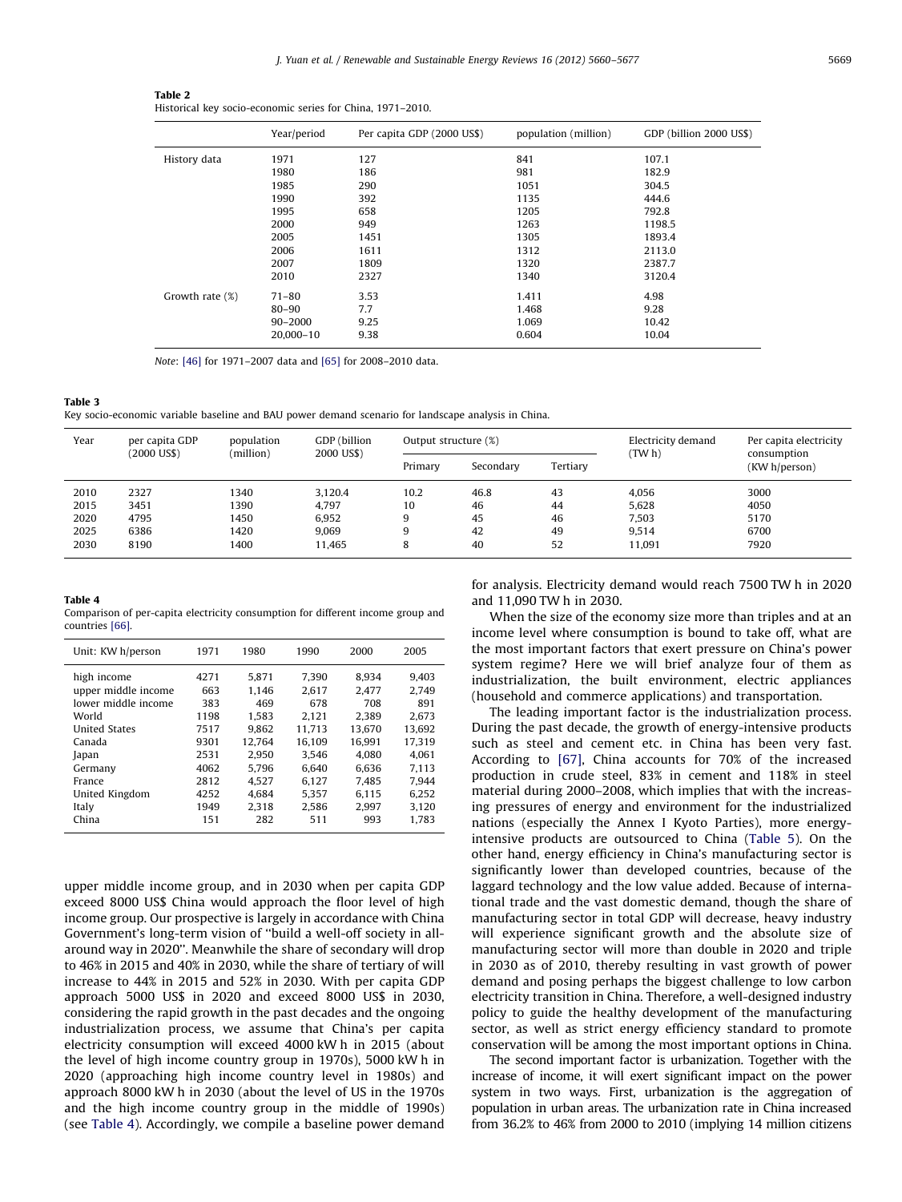<span id="page-9-0"></span>

| Table 2                                                    |  |
|------------------------------------------------------------|--|
| Historical key socio-economic series for China, 1971-2010. |  |

|                 | Year/period   | Per capita GDP (2000 US\$) | population (million) | GDP (billion 2000 US\$) |
|-----------------|---------------|----------------------------|----------------------|-------------------------|
| History data    | 1971          | 127                        | 841                  | 107.1                   |
|                 | 1980          | 186                        | 981                  | 182.9                   |
|                 | 1985          | 290                        | 1051                 | 304.5                   |
|                 | 1990          | 392                        | 1135                 | 444.6                   |
|                 | 1995          | 658                        | 1205                 | 792.8                   |
|                 | 2000          | 949                        | 1263                 | 1198.5                  |
|                 | 2005          | 1451                       | 1305                 | 1893.4                  |
|                 | 2006          | 1611                       | 1312                 | 2113.0                  |
|                 | 2007          | 1809                       | 1320                 | 2387.7                  |
|                 | 2010          | 2327                       | 1340                 | 3120.4                  |
| Growth rate (%) | $71 - 80$     | 3.53                       | 1.411                | 4.98                    |
|                 | $80 - 90$     | 7.7                        | 1.468                | 9.28                    |
|                 | 90-2000       | 9.25                       | 1.069                | 10.42                   |
|                 | $20.000 - 10$ | 9.38                       | 0.604                | 10.04                   |

Note: [\[46\]](#page-17-0) for 1971–2007 data and [\[65\]](#page-17-0) for 2008–2010 data.

## Table 3

Key socio-economic variable baseline and BAU power demand scenario for landscape analysis in China.

| Year | per capita GDP<br>(2000 US\$) | population<br>(million) | GDP (billion<br>2000 US\$) | Output structure (%) |           |          | Electricity demand<br>(TW h) | Per capita electricity<br>consumption |  |
|------|-------------------------------|-------------------------|----------------------------|----------------------|-----------|----------|------------------------------|---------------------------------------|--|
|      |                               |                         |                            | Primary              | Secondary | Tertiary |                              | (KW h/person)                         |  |
| 2010 | 2327                          | 1340                    | 3.120.4                    | 10.2                 | 46.8      | 43       | 4,056                        | 3000                                  |  |
| 2015 | 3451                          | 1390                    | 4.797                      | 10                   | 46        | 44       | 5,628                        | 4050                                  |  |
| 2020 | 4795                          | 1450                    | 6.952                      | 9                    | 45        | 46       | 7.503                        | 5170                                  |  |
| 2025 | 6386                          | 1420                    | 9.069                      | 9                    | 42        | 49       | 9.514                        | 6700                                  |  |
| 2030 | 8190                          | 1400                    | 11.465                     | 8                    | 40        | 52       | 11,091                       | 7920                                  |  |

#### Table 4

Comparison of per-capita electricity consumption for different income group and countries [\[66\].](#page-17-0)

| Unit: KW h/person    | 1971 | 1980   | 1990   | 2000   | 2005   |
|----------------------|------|--------|--------|--------|--------|
| high income          | 4271 | 5.871  | 7.390  | 8.934  | 9.403  |
| upper middle income  | 663  | 1.146  | 2.617  | 2.477  | 2.749  |
| lower middle income  | 383  | 469    | 678    | 708    | 891    |
| World                | 1198 | 1.583  | 2.121  | 2.389  | 2.673  |
| <b>United States</b> | 7517 | 9.862  | 11.713 | 13.670 | 13.692 |
| Canada               | 9301 | 12.764 | 16.109 | 16.991 | 17.319 |
| Japan                | 2531 | 2.950  | 3.546  | 4.080  | 4.061  |
| Germany              | 4062 | 5.796  | 6.640  | 6.636  | 7.113  |
| France               | 2812 | 4.527  | 6.127  | 7.485  | 7.944  |
| United Kingdom       | 4252 | 4.684  | 5.357  | 6.115  | 6.252  |
| Italy                | 1949 | 2.318  | 2.586  | 2.997  | 3.120  |
| China                | 151  | 282    | 511    | 993    | 1.783  |

upper middle income group, and in 2030 when per capita GDP exceed 8000 US\$ China would approach the floor level of high income group. Our prospective is largely in accordance with China Government's long-term vision of ''build a well-off society in allaround way in 2020''. Meanwhile the share of secondary will drop to 46% in 2015 and 40% in 2030, while the share of tertiary of will increase to 44% in 2015 and 52% in 2030. With per capita GDP approach 5000 US\$ in 2020 and exceed 8000 US\$ in 2030, considering the rapid growth in the past decades and the ongoing industrialization process, we assume that China's per capita electricity consumption will exceed 4000 kW h in 2015 (about the level of high income country group in 1970s), 5000 kW h in 2020 (approaching high income country level in 1980s) and approach 8000 kW h in 2030 (about the level of US in the 1970s and the high income country group in the middle of 1990s) (see Table 4). Accordingly, we compile a baseline power demand for analysis. Electricity demand would reach 7500 TW h in 2020 and 11,090 TW h in 2030.

When the size of the economy size more than triples and at an income level where consumption is bound to take off, what are the most important factors that exert pressure on China's power system regime? Here we will brief analyze four of them as industrialization, the built environment, electric appliances (household and commerce applications) and transportation.

The leading important factor is the industrialization process. During the past decade, the growth of energy-intensive products such as steel and cement etc. in China has been very fast. According to [\[67\]](#page-17-0), China accounts for 70% of the increased production in crude steel, 83% in cement and 118% in steel material during 2000–2008, which implies that with the increasing pressures of energy and environment for the industrialized nations (especially the Annex I Kyoto Parties), more energyintensive products are outsourced to China ([Table 5](#page-10-0)). On the other hand, energy efficiency in China's manufacturing sector is significantly lower than developed countries, because of the laggard technology and the low value added. Because of international trade and the vast domestic demand, though the share of manufacturing sector in total GDP will decrease, heavy industry will experience significant growth and the absolute size of manufacturing sector will more than double in 2020 and triple in 2030 as of 2010, thereby resulting in vast growth of power demand and posing perhaps the biggest challenge to low carbon electricity transition in China. Therefore, a well-designed industry policy to guide the healthy development of the manufacturing sector, as well as strict energy efficiency standard to promote conservation will be among the most important options in China.

The second important factor is urbanization. Together with the increase of income, it will exert significant impact on the power system in two ways. First, urbanization is the aggregation of population in urban areas. The urbanization rate in China increased from 36.2% to 46% from 2000 to 2010 (implying 14 million citizens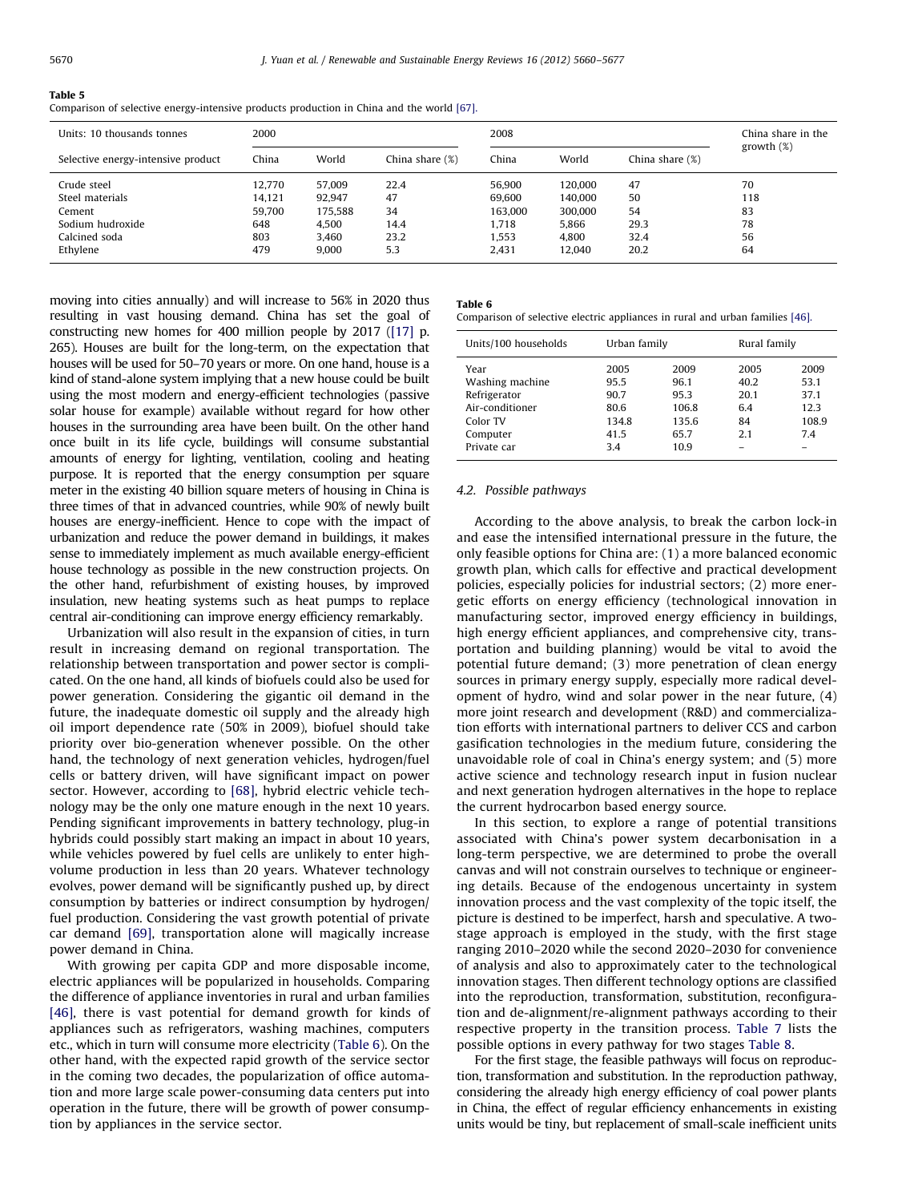#### <span id="page-10-0"></span>Table 5

Comparison of selective energy-intensive products production in China and the world [\[67\].](#page-17-0)

| Units: 10 thousands tonnes         | 2000   |         |                    | 2008    |         |                    | China share in the<br>growth $(\%)$ |  |
|------------------------------------|--------|---------|--------------------|---------|---------|--------------------|-------------------------------------|--|
| Selective energy-intensive product | China  | World   | China share $(\%)$ | China   | World   | China share $(\%)$ |                                     |  |
| Crude steel                        | 12.770 | 57.009  | 22.4               | 56,900  | 120.000 | 47                 | 70                                  |  |
| Steel materials                    | 14.121 | 92.947  | 47                 | 69.600  | 140.000 | 50                 | 118                                 |  |
| Cement                             | 59.700 | 175.588 | 34                 | 163.000 | 300,000 | 54                 | 83                                  |  |
| Sodium hudroxide                   | 648    | 4.500   | 14.4               | 1.718   | 5.866   | 29.3               | 78                                  |  |
| Calcined soda                      | 803    | 3.460   | 23.2               | 1.553   | 4.800   | 32.4               | 56                                  |  |
| Ethylene                           | 479    | 9.000   | 5.3                | 2,431   | 12.040  | 20.2               | 64                                  |  |

moving into cities annually) and will increase to 56% in 2020 thus resulting in vast housing demand. China has set the goal of constructing new homes for 400 million people by 2017 [\(\[17\]](#page-16-0) p. 265). Houses are built for the long-term, on the expectation that houses will be used for 50–70 years or more. On one hand, house is a kind of stand-alone system implying that a new house could be built using the most modern and energy-efficient technologies (passive solar house for example) available without regard for how other houses in the surrounding area have been built. On the other hand once built in its life cycle, buildings will consume substantial amounts of energy for lighting, ventilation, cooling and heating purpose. It is reported that the energy consumption per square meter in the existing 40 billion square meters of housing in China is three times of that in advanced countries, while 90% of newly built houses are energy-inefficient. Hence to cope with the impact of urbanization and reduce the power demand in buildings, it makes sense to immediately implement as much available energy-efficient house technology as possible in the new construction projects. On the other hand, refurbishment of existing houses, by improved insulation, new heating systems such as heat pumps to replace central air-conditioning can improve energy efficiency remarkably.

Urbanization will also result in the expansion of cities, in turn result in increasing demand on regional transportation. The relationship between transportation and power sector is complicated. On the one hand, all kinds of biofuels could also be used for power generation. Considering the gigantic oil demand in the future, the inadequate domestic oil supply and the already high oil import dependence rate (50% in 2009), biofuel should take priority over bio-generation whenever possible. On the other hand, the technology of next generation vehicles, hydrogen/fuel cells or battery driven, will have significant impact on power sector. However, according to [\[68\]](#page-17-0), hybrid electric vehicle technology may be the only one mature enough in the next 10 years. Pending significant improvements in battery technology, plug-in hybrids could possibly start making an impact in about 10 years, while vehicles powered by fuel cells are unlikely to enter highvolume production in less than 20 years. Whatever technology evolves, power demand will be significantly pushed up, by direct consumption by batteries or indirect consumption by hydrogen/ fuel production. Considering the vast growth potential of private car demand [\[69\]](#page-17-0), transportation alone will magically increase power demand in China.

With growing per capita GDP and more disposable income, electric appliances will be popularized in households. Comparing the difference of appliance inventories in rural and urban families [\[46\]](#page-17-0), there is vast potential for demand growth for kinds of appliances such as refrigerators, washing machines, computers etc., which in turn will consume more electricity (Table 6). On the other hand, with the expected rapid growth of the service sector in the coming two decades, the popularization of office automation and more large scale power-consuming data centers put into operation in the future, there will be growth of power consumption by appliances in the service sector.

#### Table 6

Comparison of selective electric appliances in rural and urban families [\[46\].](#page-17-0)

| Units/100 households |       | Urban family |      | Rural family |  |
|----------------------|-------|--------------|------|--------------|--|
| Year                 | 2005  | 2009         | 2005 | 2009         |  |
| Washing machine      | 95.5  | 96.1         | 40.2 | 53.1         |  |
| Refrigerator         | 90.7  | 95.3         | 20.1 | 37.1         |  |
| Air-conditioner      | 80.6  | 106.8        | 6.4  | 12.3         |  |
| Color TV             | 134.8 | 135.6        | 84   | 108.9        |  |
| Computer             | 41.5  | 65.7         | 2.1  | 7.4          |  |
| Private car          | 3.4   | 10.9         |      |              |  |

#### 4.2. Possible pathways

According to the above analysis, to break the carbon lock-in and ease the intensified international pressure in the future, the only feasible options for China are: (1) a more balanced economic growth plan, which calls for effective and practical development policies, especially policies for industrial sectors; (2) more energetic efforts on energy efficiency (technological innovation in manufacturing sector, improved energy efficiency in buildings, high energy efficient appliances, and comprehensive city, transportation and building planning) would be vital to avoid the potential future demand; (3) more penetration of clean energy sources in primary energy supply, especially more radical development of hydro, wind and solar power in the near future, (4) more joint research and development (R&D) and commercialization efforts with international partners to deliver CCS and carbon gasification technologies in the medium future, considering the unavoidable role of coal in China's energy system; and (5) more active science and technology research input in fusion nuclear and next generation hydrogen alternatives in the hope to replace the current hydrocarbon based energy source.

In this section, to explore a range of potential transitions associated with China's power system decarbonisation in a long-term perspective, we are determined to probe the overall canvas and will not constrain ourselves to technique or engineering details. Because of the endogenous uncertainty in system innovation process and the vast complexity of the topic itself, the picture is destined to be imperfect, harsh and speculative. A twostage approach is employed in the study, with the first stage ranging 2010–2020 while the second 2020–2030 for convenience of analysis and also to approximately cater to the technological innovation stages. Then different technology options are classified into the reproduction, transformation, substitution, reconfiguration and de-alignment/re-alignment pathways according to their respective property in the transition process. [Table 7](#page-11-0) lists the possible options in every pathway for two stages [Table 8.](#page-11-0)

For the first stage, the feasible pathways will focus on reproduction, transformation and substitution. In the reproduction pathway, considering the already high energy efficiency of coal power plants in China, the effect of regular efficiency enhancements in existing units would be tiny, but replacement of small-scale inefficient units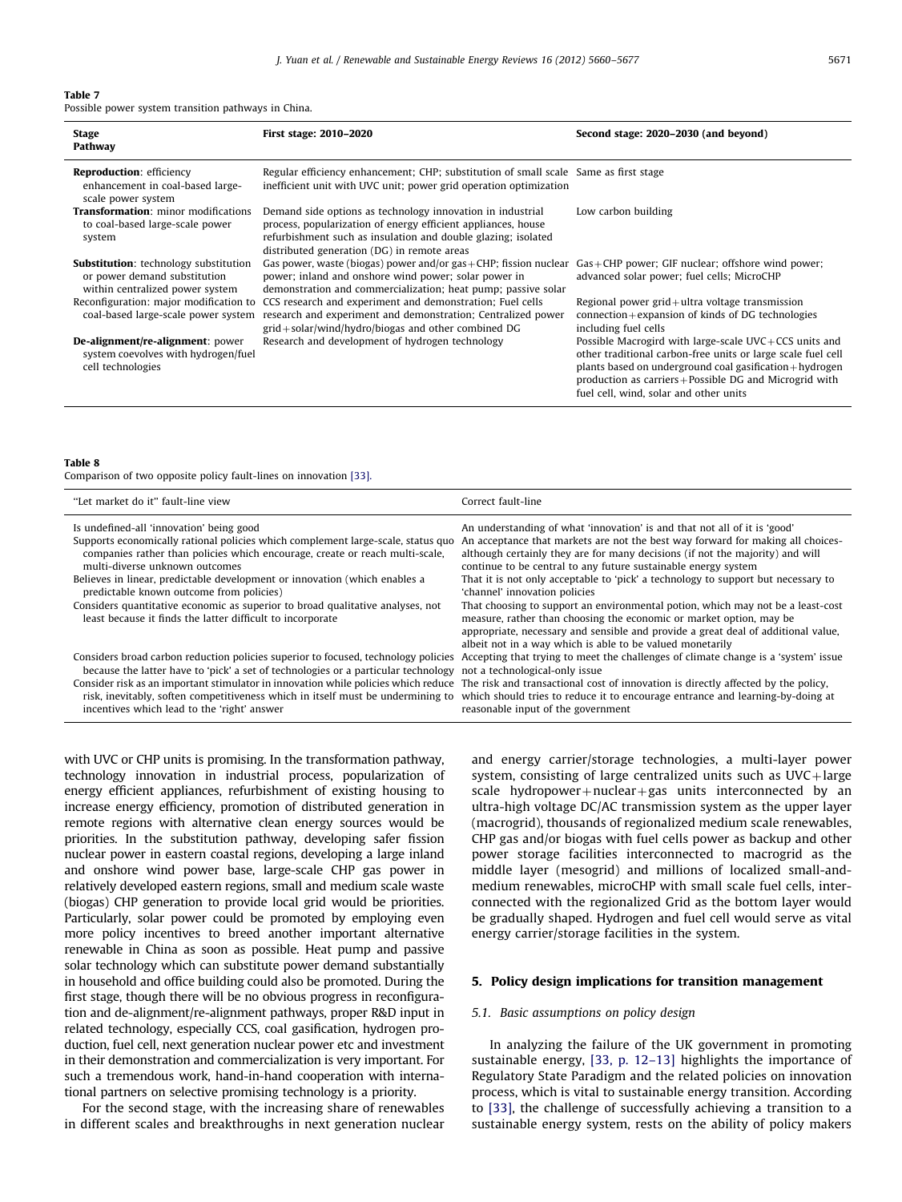#### <span id="page-11-0"></span>Table 7

Possible power system transition pathways in China.

| <b>Stage</b><br>Pathway                                                                                         | First stage: 2010-2020                                                                                                                                                                                                                      | Second stage: 2020-2030 (and beyond)                                                                                                                                                                                                                                                     |
|-----------------------------------------------------------------------------------------------------------------|---------------------------------------------------------------------------------------------------------------------------------------------------------------------------------------------------------------------------------------------|------------------------------------------------------------------------------------------------------------------------------------------------------------------------------------------------------------------------------------------------------------------------------------------|
| <b>Reproduction:</b> efficiency<br>enhancement in coal-based large-<br>scale power system                       | Regular efficiency enhancement; CHP; substitution of small scale Same as first stage<br>inefficient unit with UVC unit; power grid operation optimization                                                                                   |                                                                                                                                                                                                                                                                                          |
| <b>Transformation:</b> minor modifications<br>to coal-based large-scale power<br>system                         | Demand side options as technology innovation in industrial<br>process, popularization of energy efficient appliances, house<br>refurbishment such as insulation and double glazing; isolated<br>distributed generation (DG) in remote areas | Low carbon building                                                                                                                                                                                                                                                                      |
| <b>Substitution:</b> technology substitution<br>or power demand substitution<br>within centralized power system | Gas power, waste (biogas) power and/or $gas +$ CHP; fission nuclear<br>power; inland and onshore wind power; solar power in<br>demonstration and commercialization; heat pump; passive solar                                                | $Gas + CHP power$ ; GIF nuclear; offshore wind power;<br>advanced solar power; fuel cells; MicroCHP                                                                                                                                                                                      |
| Reconfiguration: major modification to<br>coal-based large-scale power system                                   | CCS research and experiment and demonstration; Fuel cells<br>research and experiment and demonstration; Centralized power<br>$grid + solar/wind/hydro/biogas$ and other combined DG                                                         | Regional power $grid+ultra$ voltage transmission<br>$connection + expansion$ of kinds of DG technologies<br>including fuel cells                                                                                                                                                         |
| De-alignment/re-alignment: power<br>system coevolves with hydrogen/fuel<br>cell technologies                    | Research and development of hydrogen technology                                                                                                                                                                                             | Possible Macrogird with large-scale $UVC + CCS$ units and<br>other traditional carbon-free units or large scale fuel cell<br>plants based on underground coal gasification + hydrogen<br>production as carriers+Possible DG and Microgrid with<br>fuel cell, wind, solar and other units |
|                                                                                                                 |                                                                                                                                                                                                                                             |                                                                                                                                                                                                                                                                                          |

#### Table 8

Comparison of two opposite policy fault-lines on innovation [\[33\].](#page-17-0)

| "Let market do it" fault-line view                                                                                                                                       | Correct fault-line                                                                                                                                             |
|--------------------------------------------------------------------------------------------------------------------------------------------------------------------------|----------------------------------------------------------------------------------------------------------------------------------------------------------------|
| Is undefined-all 'innovation' being good                                                                                                                                 | An understanding of what 'innovation' is and that not all of it is 'good'                                                                                      |
| Supports economically rational policies which complement large-scale, status quo                                                                                         | An acceptance that markets are not the best way forward for making all choices-                                                                                |
| companies rather than policies which encourage, create or reach multi-scale,<br>multi-diverse unknown outcomes                                                           | although certainly they are for many decisions (if not the majority) and will<br>continue to be central to any future sustainable energy system                |
| Believes in linear, predictable development or innovation (which enables a                                                                                               | That it is not only acceptable to 'pick' a technology to support but necessary to                                                                              |
| predictable known outcome from policies)                                                                                                                                 | 'channel' innovation policies                                                                                                                                  |
| Considers quantitative economic as superior to broad qualitative analyses, not<br>least because it finds the latter difficult to incorporate                             | That choosing to support an environmental potion, which may not be a least-cost<br>measure, rather than choosing the economic or market option, may be         |
|                                                                                                                                                                          | appropriate, necessary and sensible and provide a great deal of additional value,<br>albeit not in a way which is able to be valued monetarily                 |
| Considers broad carbon reduction policies superior to focused, technology policies<br>because the latter have to 'pick' a set of technologies or a particular technology | Accepting that trying to meet the challenges of climate change is a 'system' issue<br>not a technological-only issue                                           |
| Consider risk as an important stimulator in innovation while policies which reduce The risk and transactional cost of innovation is directly affected by the policy,     |                                                                                                                                                                |
|                                                                                                                                                                          | risk, inevitably, soften competitiveness which in itself must be undermining to which should tries to reduce it to encourage entrance and learning-by-doing at |
| incentives which lead to the 'right' answer                                                                                                                              | reasonable input of the government                                                                                                                             |

with UVC or CHP units is promising. In the transformation pathway, technology innovation in industrial process, popularization of energy efficient appliances, refurbishment of existing housing to increase energy efficiency, promotion of distributed generation in remote regions with alternative clean energy sources would be priorities. In the substitution pathway, developing safer fission nuclear power in eastern coastal regions, developing a large inland and onshore wind power base, large-scale CHP gas power in relatively developed eastern regions, small and medium scale waste (biogas) CHP generation to provide local grid would be priorities. Particularly, solar power could be promoted by employing even more policy incentives to breed another important alternative renewable in China as soon as possible. Heat pump and passive solar technology which can substitute power demand substantially in household and office building could also be promoted. During the first stage, though there will be no obvious progress in reconfiguration and de-alignment/re-alignment pathways, proper R&D input in related technology, especially CCS, coal gasification, hydrogen production, fuel cell, next generation nuclear power etc and investment in their demonstration and commercialization is very important. For such a tremendous work, hand-in-hand cooperation with international partners on selective promising technology is a priority.

For the second stage, with the increasing share of renewables in different scales and breakthroughs in next generation nuclear and energy carrier/storage technologies, a multi-layer power system, consisting of large centralized units such as  $UVC+large$ scale hydropower+nuclear+gas units interconnected by an ultra-high voltage DC/AC transmission system as the upper layer (macrogrid), thousands of regionalized medium scale renewables, CHP gas and/or biogas with fuel cells power as backup and other power storage facilities interconnected to macrogrid as the middle layer (mesogrid) and millions of localized small-andmedium renewables, microCHP with small scale fuel cells, interconnected with the regionalized Grid as the bottom layer would be gradually shaped. Hydrogen and fuel cell would serve as vital energy carrier/storage facilities in the system.

## 5. Policy design implications for transition management

## 5.1. Basic assumptions on policy design

In analyzing the failure of the UK government in promoting sustainable energy, [\[33, p. 12–13\]](#page-17-0) highlights the importance of Regulatory State Paradigm and the related policies on innovation process, which is vital to sustainable energy transition. According to [\[33\]](#page-17-0), the challenge of successfully achieving a transition to a sustainable energy system, rests on the ability of policy makers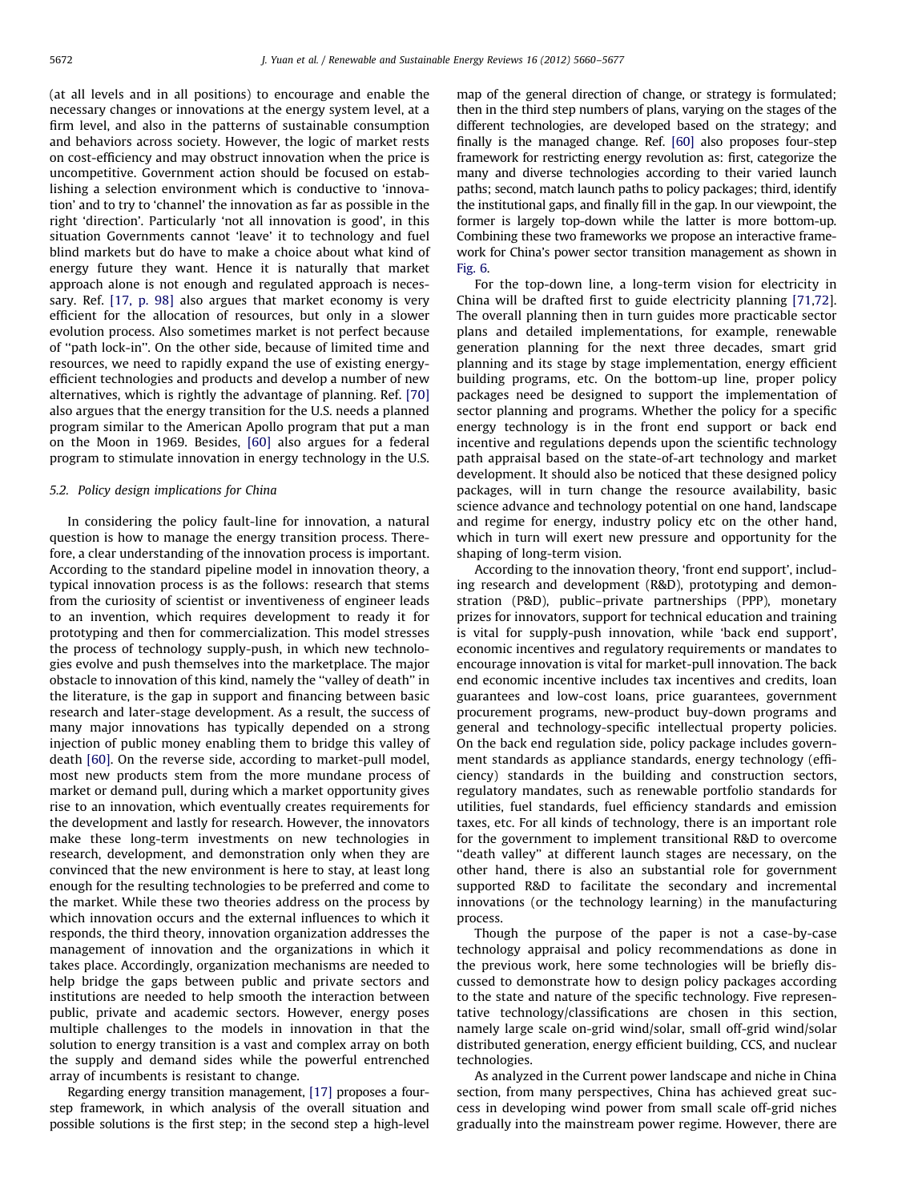(at all levels and in all positions) to encourage and enable the necessary changes or innovations at the energy system level, at a firm level, and also in the patterns of sustainable consumption and behaviors across society. However, the logic of market rests on cost-efficiency and may obstruct innovation when the price is uncompetitive. Government action should be focused on establishing a selection environment which is conductive to 'innovation' and to try to 'channel' the innovation as far as possible in the right 'direction'. Particularly 'not all innovation is good', in this situation Governments cannot 'leave' it to technology and fuel blind markets but do have to make a choice about what kind of energy future they want. Hence it is naturally that market approach alone is not enough and regulated approach is neces-sary. Ref. [\[17, p. 98\]](#page-16-0) also argues that market economy is very efficient for the allocation of resources, but only in a slower evolution process. Also sometimes market is not perfect because of ''path lock-in''. On the other side, because of limited time and resources, we need to rapidly expand the use of existing energyefficient technologies and products and develop a number of new alternatives, which is rightly the advantage of planning. Ref. [\[70\]](#page-17-0) also argues that the energy transition for the U.S. needs a planned program similar to the American Apollo program that put a man on the Moon in 1969. Besides, [\[60\]](#page-17-0) also argues for a federal program to stimulate innovation in energy technology in the U.S.

#### 5.2. Policy design implications for China

In considering the policy fault-line for innovation, a natural question is how to manage the energy transition process. Therefore, a clear understanding of the innovation process is important. According to the standard pipeline model in innovation theory, a typical innovation process is as the follows: research that stems from the curiosity of scientist or inventiveness of engineer leads to an invention, which requires development to ready it for prototyping and then for commercialization. This model stresses the process of technology supply-push, in which new technologies evolve and push themselves into the marketplace. The major obstacle to innovation of this kind, namely the ''valley of death'' in the literature, is the gap in support and financing between basic research and later-stage development. As a result, the success of many major innovations has typically depended on a strong injection of public money enabling them to bridge this valley of death [\[60\].](#page-17-0) On the reverse side, according to market-pull model, most new products stem from the more mundane process of market or demand pull, during which a market opportunity gives rise to an innovation, which eventually creates requirements for the development and lastly for research. However, the innovators make these long-term investments on new technologies in research, development, and demonstration only when they are convinced that the new environment is here to stay, at least long enough for the resulting technologies to be preferred and come to the market. While these two theories address on the process by which innovation occurs and the external influences to which it responds, the third theory, innovation organization addresses the management of innovation and the organizations in which it takes place. Accordingly, organization mechanisms are needed to help bridge the gaps between public and private sectors and institutions are needed to help smooth the interaction between public, private and academic sectors. However, energy poses multiple challenges to the models in innovation in that the solution to energy transition is a vast and complex array on both the supply and demand sides while the powerful entrenched array of incumbents is resistant to change.

Regarding energy transition management, [\[17\]](#page-16-0) proposes a fourstep framework, in which analysis of the overall situation and possible solutions is the first step; in the second step a high-level map of the general direction of change, or strategy is formulated; then in the third step numbers of plans, varying on the stages of the different technologies, are developed based on the strategy; and finally is the managed change. Ref. [\[60\]](#page-17-0) also proposes four-step framework for restricting energy revolution as: first, categorize the many and diverse technologies according to their varied launch paths; second, match launch paths to policy packages; third, identify the institutional gaps, and finally fill in the gap. In our viewpoint, the former is largely top-down while the latter is more bottom-up. Combining these two frameworks we propose an interactive framework for China's power sector transition management as shown in [Fig. 6.](#page-13-0)

For the top-down line, a long-term vision for electricity in China will be drafted first to guide electricity planning [\[71,72\]](#page-17-0). The overall planning then in turn guides more practicable sector plans and detailed implementations, for example, renewable generation planning for the next three decades, smart grid planning and its stage by stage implementation, energy efficient building programs, etc. On the bottom-up line, proper policy packages need be designed to support the implementation of sector planning and programs. Whether the policy for a specific energy technology is in the front end support or back end incentive and regulations depends upon the scientific technology path appraisal based on the state-of-art technology and market development. It should also be noticed that these designed policy packages, will in turn change the resource availability, basic science advance and technology potential on one hand, landscape and regime for energy, industry policy etc on the other hand, which in turn will exert new pressure and opportunity for the shaping of long-term vision.

According to the innovation theory, 'front end support', including research and development (R&D), prototyping and demonstration (P&D), public–private partnerships (PPP), monetary prizes for innovators, support for technical education and training is vital for supply-push innovation, while 'back end support', economic incentives and regulatory requirements or mandates to encourage innovation is vital for market-pull innovation. The back end economic incentive includes tax incentives and credits, loan guarantees and low-cost loans, price guarantees, government procurement programs, new-product buy-down programs and general and technology-specific intellectual property policies. On the back end regulation side, policy package includes government standards as appliance standards, energy technology (efficiency) standards in the building and construction sectors, regulatory mandates, such as renewable portfolio standards for utilities, fuel standards, fuel efficiency standards and emission taxes, etc. For all kinds of technology, there is an important role for the government to implement transitional R&D to overcome "death valley" at different launch stages are necessary, on the other hand, there is also an substantial role for government supported R&D to facilitate the secondary and incremental innovations (or the technology learning) in the manufacturing process.

Though the purpose of the paper is not a case-by-case technology appraisal and policy recommendations as done in the previous work, here some technologies will be briefly discussed to demonstrate how to design policy packages according to the state and nature of the specific technology. Five representative technology/classifications are chosen in this section, namely large scale on-grid wind/solar, small off-grid wind/solar distributed generation, energy efficient building, CCS, and nuclear technologies.

As analyzed in the Current power landscape and niche in China section, from many perspectives, China has achieved great success in developing wind power from small scale off-grid niches gradually into the mainstream power regime. However, there are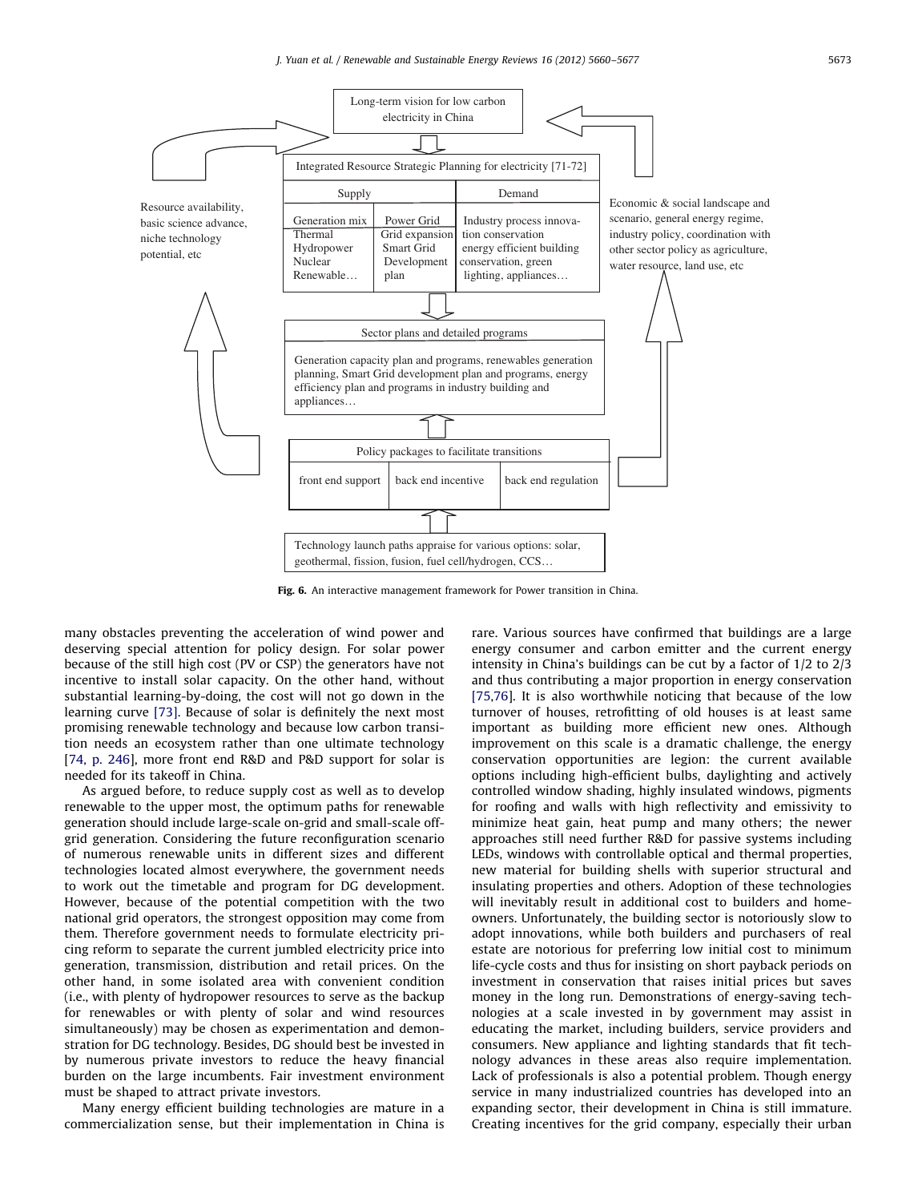<span id="page-13-0"></span>

Fig. 6. An interactive management framework for Power transition in China.

many obstacles preventing the acceleration of wind power and deserving special attention for policy design. For solar power because of the still high cost (PV or CSP) the generators have not incentive to install solar capacity. On the other hand, without substantial learning-by-doing, the cost will not go down in the learning curve [\[73\]](#page-17-0). Because of solar is definitely the next most promising renewable technology and because low carbon transition needs an ecosystem rather than one ultimate technology [[74, p. 246\]](#page-17-0), more front end R&D and P&D support for solar is needed for its takeoff in China.

As argued before, to reduce supply cost as well as to develop renewable to the upper most, the optimum paths for renewable generation should include large-scale on-grid and small-scale offgrid generation. Considering the future reconfiguration scenario of numerous renewable units in different sizes and different technologies located almost everywhere, the government needs to work out the timetable and program for DG development. However, because of the potential competition with the two national grid operators, the strongest opposition may come from them. Therefore government needs to formulate electricity pricing reform to separate the current jumbled electricity price into generation, transmission, distribution and retail prices. On the other hand, in some isolated area with convenient condition (i.e., with plenty of hydropower resources to serve as the backup for renewables or with plenty of solar and wind resources simultaneously) may be chosen as experimentation and demonstration for DG technology. Besides, DG should best be invested in by numerous private investors to reduce the heavy financial burden on the large incumbents. Fair investment environment must be shaped to attract private investors.

Many energy efficient building technologies are mature in a commercialization sense, but their implementation in China is rare. Various sources have confirmed that buildings are a large energy consumer and carbon emitter and the current energy intensity in China's buildings can be cut by a factor of 1/2 to 2/3 and thus contributing a major proportion in energy conservation [\[75,76\]](#page-17-0). It is also worthwhile noticing that because of the low turnover of houses, retrofitting of old houses is at least same important as building more efficient new ones. Although improvement on this scale is a dramatic challenge, the energy conservation opportunities are legion: the current available options including high-efficient bulbs, daylighting and actively controlled window shading, highly insulated windows, pigments for roofing and walls with high reflectivity and emissivity to minimize heat gain, heat pump and many others; the newer approaches still need further R&D for passive systems including LEDs, windows with controllable optical and thermal properties, new material for building shells with superior structural and insulating properties and others. Adoption of these technologies will inevitably result in additional cost to builders and homeowners. Unfortunately, the building sector is notoriously slow to adopt innovations, while both builders and purchasers of real estate are notorious for preferring low initial cost to minimum life-cycle costs and thus for insisting on short payback periods on investment in conservation that raises initial prices but saves money in the long run. Demonstrations of energy-saving technologies at a scale invested in by government may assist in educating the market, including builders, service providers and consumers. New appliance and lighting standards that fit technology advances in these areas also require implementation. Lack of professionals is also a potential problem. Though energy service in many industrialized countries has developed into an expanding sector, their development in China is still immature. Creating incentives for the grid company, especially their urban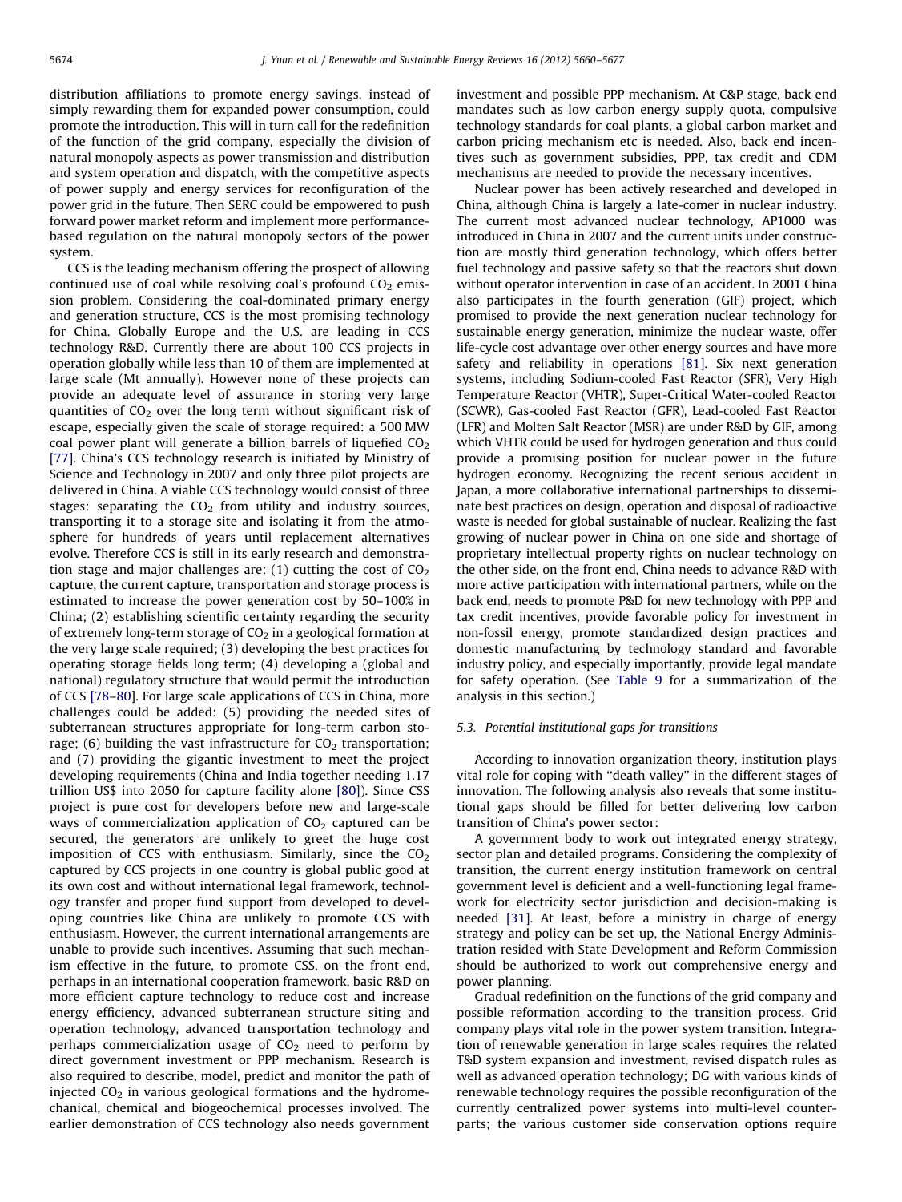distribution affiliations to promote energy savings, instead of simply rewarding them for expanded power consumption, could promote the introduction. This will in turn call for the redefinition of the function of the grid company, especially the division of natural monopoly aspects as power transmission and distribution and system operation and dispatch, with the competitive aspects of power supply and energy services for reconfiguration of the power grid in the future. Then SERC could be empowered to push forward power market reform and implement more performancebased regulation on the natural monopoly sectors of the power system.

CCS is the leading mechanism offering the prospect of allowing continued use of coal while resolving coal's profound  $CO<sub>2</sub>$  emission problem. Considering the coal-dominated primary energy and generation structure, CCS is the most promising technology for China. Globally Europe and the U.S. are leading in CCS technology R&D. Currently there are about 100 CCS projects in operation globally while less than 10 of them are implemented at large scale (Mt annually). However none of these projects can provide an adequate level of assurance in storing very large quantities of  $CO<sub>2</sub>$  over the long term without significant risk of escape, especially given the scale of storage required: a 500 MW coal power plant will generate a billion barrels of liquefied  $CO<sub>2</sub>$ [\[77\]](#page-17-0). China's CCS technology research is initiated by Ministry of Science and Technology in 2007 and only three pilot projects are delivered in China. A viable CCS technology would consist of three stages: separating the  $CO<sub>2</sub>$  from utility and industry sources, transporting it to a storage site and isolating it from the atmosphere for hundreds of years until replacement alternatives evolve. Therefore CCS is still in its early research and demonstration stage and major challenges are:  $(1)$  cutting the cost of  $CO<sub>2</sub>$ capture, the current capture, transportation and storage process is estimated to increase the power generation cost by 50–100% in China; (2) establishing scientific certainty regarding the security of extremely long-term storage of  $CO<sub>2</sub>$  in a geological formation at the very large scale required; (3) developing the best practices for operating storage fields long term; (4) developing a (global and national) regulatory structure that would permit the introduction of CCS [\[78–80\]](#page-17-0). For large scale applications of CCS in China, more challenges could be added: (5) providing the needed sites of subterranean structures appropriate for long-term carbon storage; (6) building the vast infrastructure for  $CO<sub>2</sub>$  transportation; and (7) providing the gigantic investment to meet the project developing requirements (China and India together needing 1.17 trillion US\$ into 2050 for capture facility alone [\[80\]](#page-17-0)). Since CSS project is pure cost for developers before new and large-scale ways of commercialization application of  $CO<sub>2</sub>$  captured can be secured, the generators are unlikely to greet the huge cost imposition of CCS with enthusiasm. Similarly, since the  $CO<sub>2</sub>$ captured by CCS projects in one country is global public good at its own cost and without international legal framework, technology transfer and proper fund support from developed to developing countries like China are unlikely to promote CCS with enthusiasm. However, the current international arrangements are unable to provide such incentives. Assuming that such mechanism effective in the future, to promote CSS, on the front end, perhaps in an international cooperation framework, basic R&D on more efficient capture technology to reduce cost and increase energy efficiency, advanced subterranean structure siting and operation technology, advanced transportation technology and perhaps commercialization usage of  $CO<sub>2</sub>$  need to perform by direct government investment or PPP mechanism. Research is also required to describe, model, predict and monitor the path of injected  $CO<sub>2</sub>$  in various geological formations and the hydromechanical, chemical and biogeochemical processes involved. The earlier demonstration of CCS technology also needs government investment and possible PPP mechanism. At C&P stage, back end mandates such as low carbon energy supply quota, compulsive technology standards for coal plants, a global carbon market and carbon pricing mechanism etc is needed. Also, back end incentives such as government subsidies, PPP, tax credit and CDM mechanisms are needed to provide the necessary incentives.

Nuclear power has been actively researched and developed in China, although China is largely a late-comer in nuclear industry. The current most advanced nuclear technology, AP1000 was introduced in China in 2007 and the current units under construction are mostly third generation technology, which offers better fuel technology and passive safety so that the reactors shut down without operator intervention in case of an accident. In 2001 China also participates in the fourth generation (GIF) project, which promised to provide the next generation nuclear technology for sustainable energy generation, minimize the nuclear waste, offer life-cycle cost advantage over other energy sources and have more safety and reliability in operations [\[81\]](#page-17-0). Six next generation systems, including Sodium-cooled Fast Reactor (SFR), Very High Temperature Reactor (VHTR), Super-Critical Water-cooled Reactor (SCWR), Gas-cooled Fast Reactor (GFR), Lead-cooled Fast Reactor (LFR) and Molten Salt Reactor (MSR) are under R&D by GIF, among which VHTR could be used for hydrogen generation and thus could provide a promising position for nuclear power in the future hydrogen economy. Recognizing the recent serious accident in Japan, a more collaborative international partnerships to disseminate best practices on design, operation and disposal of radioactive waste is needed for global sustainable of nuclear. Realizing the fast growing of nuclear power in China on one side and shortage of proprietary intellectual property rights on nuclear technology on the other side, on the front end, China needs to advance R&D with more active participation with international partners, while on the back end, needs to promote P&D for new technology with PPP and tax credit incentives, provide favorable policy for investment in non-fossil energy, promote standardized design practices and domestic manufacturing by technology standard and favorable industry policy, and especially importantly, provide legal mandate for safety operation. (See [Table 9](#page-15-0) for a summarization of the analysis in this section.)

#### 5.3. Potential institutional gaps for transitions

According to innovation organization theory, institution plays vital role for coping with ''death valley'' in the different stages of innovation. The following analysis also reveals that some institutional gaps should be filled for better delivering low carbon transition of China's power sector:

A government body to work out integrated energy strategy, sector plan and detailed programs. Considering the complexity of transition, the current energy institution framework on central government level is deficient and a well-functioning legal framework for electricity sector jurisdiction and decision-making is needed [\[31\]](#page-17-0). At least, before a ministry in charge of energy strategy and policy can be set up, the National Energy Administration resided with State Development and Reform Commission should be authorized to work out comprehensive energy and power planning.

Gradual redefinition on the functions of the grid company and possible reformation according to the transition process. Grid company plays vital role in the power system transition. Integration of renewable generation in large scales requires the related T&D system expansion and investment, revised dispatch rules as well as advanced operation technology; DG with various kinds of renewable technology requires the possible reconfiguration of the currently centralized power systems into multi-level counterparts; the various customer side conservation options require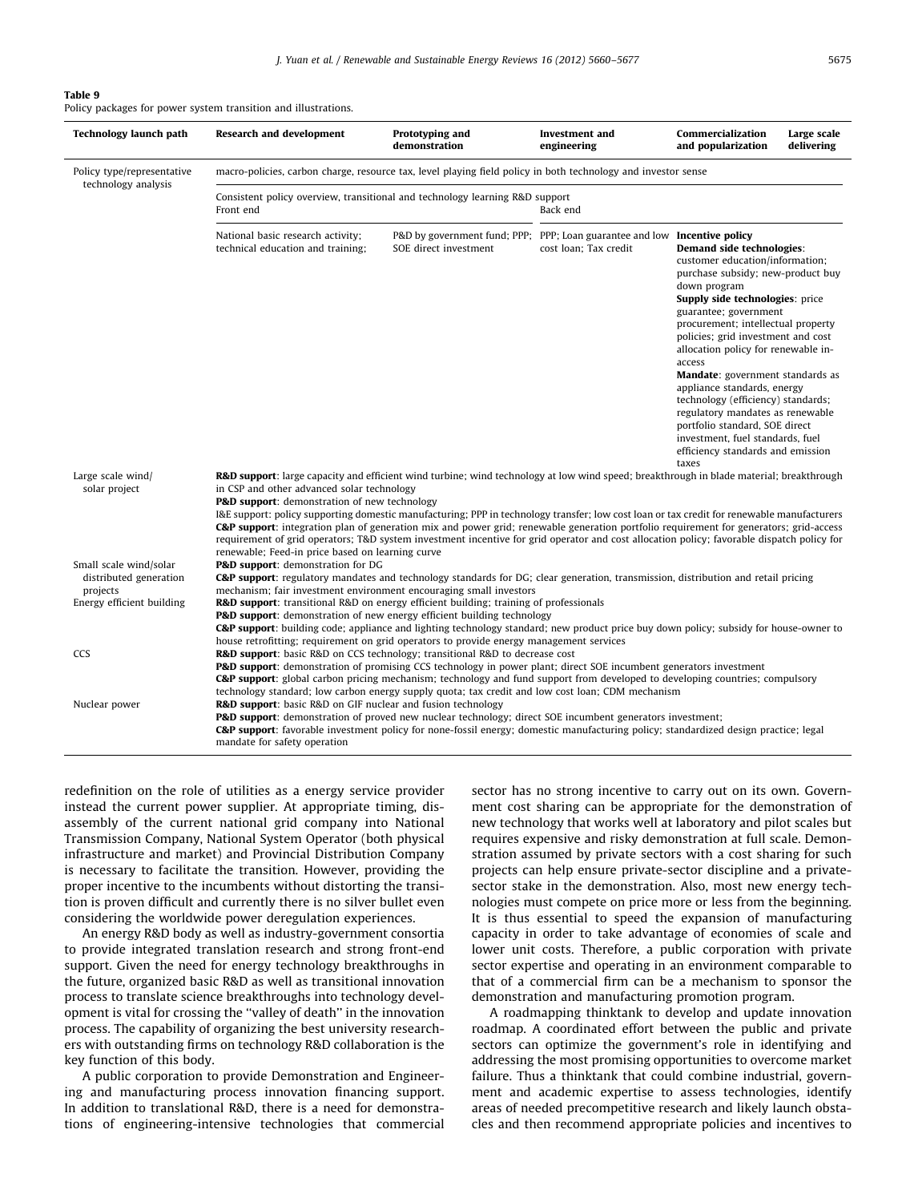#### <span id="page-15-0"></span>Table 9

Policy packages for power system transition and illustrations.

| <b>Technology launch path</b>                                                             | <b>Research and development</b>                                                                                                                                                                                                                                                                                                                                                                                                                                                                                                                                                                                                                                | Prototyping and<br>demonstration                                                                                                                                                                                                                                                                                                                                                                                                                                                                                                                                                                                                                                                                                                                       | <b>Investment</b> and<br>engineering | Commercialization<br>and popularization                                                                                                                                                                                                                                                                                                                                                                                                                                                                                                                            | Large scale<br>delivering |  |  |  |  |
|-------------------------------------------------------------------------------------------|----------------------------------------------------------------------------------------------------------------------------------------------------------------------------------------------------------------------------------------------------------------------------------------------------------------------------------------------------------------------------------------------------------------------------------------------------------------------------------------------------------------------------------------------------------------------------------------------------------------------------------------------------------------|--------------------------------------------------------------------------------------------------------------------------------------------------------------------------------------------------------------------------------------------------------------------------------------------------------------------------------------------------------------------------------------------------------------------------------------------------------------------------------------------------------------------------------------------------------------------------------------------------------------------------------------------------------------------------------------------------------------------------------------------------------|--------------------------------------|--------------------------------------------------------------------------------------------------------------------------------------------------------------------------------------------------------------------------------------------------------------------------------------------------------------------------------------------------------------------------------------------------------------------------------------------------------------------------------------------------------------------------------------------------------------------|---------------------------|--|--|--|--|
| Policy type/representative<br>technology analysis                                         | macro-policies, carbon charge, resource tax, level playing field policy in both technology and investor sense                                                                                                                                                                                                                                                                                                                                                                                                                                                                                                                                                  |                                                                                                                                                                                                                                                                                                                                                                                                                                                                                                                                                                                                                                                                                                                                                        |                                      |                                                                                                                                                                                                                                                                                                                                                                                                                                                                                                                                                                    |                           |  |  |  |  |
|                                                                                           | Consistent policy overview, transitional and technology learning R&D support<br>Front end                                                                                                                                                                                                                                                                                                                                                                                                                                                                                                                                                                      |                                                                                                                                                                                                                                                                                                                                                                                                                                                                                                                                                                                                                                                                                                                                                        | Back end                             |                                                                                                                                                                                                                                                                                                                                                                                                                                                                                                                                                                    |                           |  |  |  |  |
|                                                                                           | National basic research activity;<br>technical education and training;                                                                                                                                                                                                                                                                                                                                                                                                                                                                                                                                                                                         | P&D by government fund; PPP; PPP; Loan guarantee and low Incentive policy<br>SOE direct investment                                                                                                                                                                                                                                                                                                                                                                                                                                                                                                                                                                                                                                                     | cost loan; Tax credit                | Demand side technologies:<br>customer education/information;<br>purchase subsidy; new-product buy<br>down program<br>Supply side technologies: price<br>guarantee; government<br>procurement; intellectual property<br>policies; grid investment and cost<br>allocation policy for renewable in-<br>access<br>Mandate: government standards as<br>appliance standards, energy<br>technology (efficiency) standards;<br>regulatory mandates as renewable<br>portfolio standard, SOE direct<br>investment, fuel standards, fuel<br>efficiency standards and emission |                           |  |  |  |  |
| Large scale wind/<br>solar project                                                        | in CSP and other advanced solar technology<br>renewable; Feed-in price based on learning curve                                                                                                                                                                                                                                                                                                                                                                                                                                                                                                                                                                 | taxes<br><b>R&amp;D support:</b> large capacity and efficient wind turbine; wind technology at low wind speed; breakthrough in blade material; breakthrough<br>P&D support: demonstration of new technology<br>I&E support: policy supporting domestic manufacturing; PPP in technology transfer; low cost loan or tax credit for renewable manufacturers<br>C&P support: integration plan of generation mix and power grid; renewable generation portfolio requirement for generators; grid-access<br>requirement of grid operators; T&D system investment incentive for grid operator and cost allocation policy; favorable dispatch policy for                                                                                                      |                                      |                                                                                                                                                                                                                                                                                                                                                                                                                                                                                                                                                                    |                           |  |  |  |  |
| Small scale wind/solar<br>distributed generation<br>projects<br>Energy efficient building | P&D support: demonstration for DG<br>C&P support: regulatory mandates and technology standards for DG; clear generation, transmission, distribution and retail pricing<br>mechanism; fair investment environment encouraging small investors<br><b>R&amp;D support:</b> transitional R&D on energy efficient building; training of professionals<br>P&D support: demonstration of new energy efficient building technology<br>C&P support: building code; appliance and lighting technology standard; new product price buy down policy; subsidy for house-owner to<br>house retrofitting; requirement on grid operators to provide energy management services |                                                                                                                                                                                                                                                                                                                                                                                                                                                                                                                                                                                                                                                                                                                                                        |                                      |                                                                                                                                                                                                                                                                                                                                                                                                                                                                                                                                                                    |                           |  |  |  |  |
| <b>CCS</b><br>Nuclear power                                                               |                                                                                                                                                                                                                                                                                                                                                                                                                                                                                                                                                                                                                                                                | R&D support: basic R&D on CCS technology; transitional R&D to decrease cost<br>P&D support: demonstration of promising CCS technology in power plant; direct SOE incumbent generators investment<br>C&P support: global carbon pricing mechanism; technology and fund support from developed to developing countries; compulsory<br>technology standard; low carbon energy supply quota; tax credit and low cost loan; CDM mechanism<br>R&D support: basic R&D on GIF nuclear and fusion technology<br>P&D support: demonstration of proved new nuclear technology; direct SOE incumbent generators investment;<br>C&P support: favorable investment policy for none-fossil energy; domestic manufacturing policy; standardized design practice; legal |                                      |                                                                                                                                                                                                                                                                                                                                                                                                                                                                                                                                                                    |                           |  |  |  |  |
|                                                                                           | mandate for safety operation                                                                                                                                                                                                                                                                                                                                                                                                                                                                                                                                                                                                                                   |                                                                                                                                                                                                                                                                                                                                                                                                                                                                                                                                                                                                                                                                                                                                                        |                                      |                                                                                                                                                                                                                                                                                                                                                                                                                                                                                                                                                                    |                           |  |  |  |  |

redefinition on the role of utilities as a energy service provider instead the current power supplier. At appropriate timing, disassembly of the current national grid company into National Transmission Company, National System Operator (both physical infrastructure and market) and Provincial Distribution Company is necessary to facilitate the transition. However, providing the proper incentive to the incumbents without distorting the transition is proven difficult and currently there is no silver bullet even considering the worldwide power deregulation experiences.

An energy R&D body as well as industry-government consortia to provide integrated translation research and strong front-end support. Given the need for energy technology breakthroughs in the future, organized basic R&D as well as transitional innovation process to translate science breakthroughs into technology development is vital for crossing the ''valley of death'' in the innovation process. The capability of organizing the best university researchers with outstanding firms on technology R&D collaboration is the key function of this body.

A public corporation to provide Demonstration and Engineering and manufacturing process innovation financing support. In addition to translational R&D, there is a need for demonstrations of engineering-intensive technologies that commercial sector has no strong incentive to carry out on its own. Government cost sharing can be appropriate for the demonstration of new technology that works well at laboratory and pilot scales but requires expensive and risky demonstration at full scale. Demonstration assumed by private sectors with a cost sharing for such projects can help ensure private-sector discipline and a privatesector stake in the demonstration. Also, most new energy technologies must compete on price more or less from the beginning. It is thus essential to speed the expansion of manufacturing capacity in order to take advantage of economies of scale and lower unit costs. Therefore, a public corporation with private sector expertise and operating in an environment comparable to that of a commercial firm can be a mechanism to sponsor the demonstration and manufacturing promotion program.

A roadmapping thinktank to develop and update innovation roadmap. A coordinated effort between the public and private sectors can optimize the government's role in identifying and addressing the most promising opportunities to overcome market failure. Thus a thinktank that could combine industrial, government and academic expertise to assess technologies, identify areas of needed precompetitive research and likely launch obstacles and then recommend appropriate policies and incentives to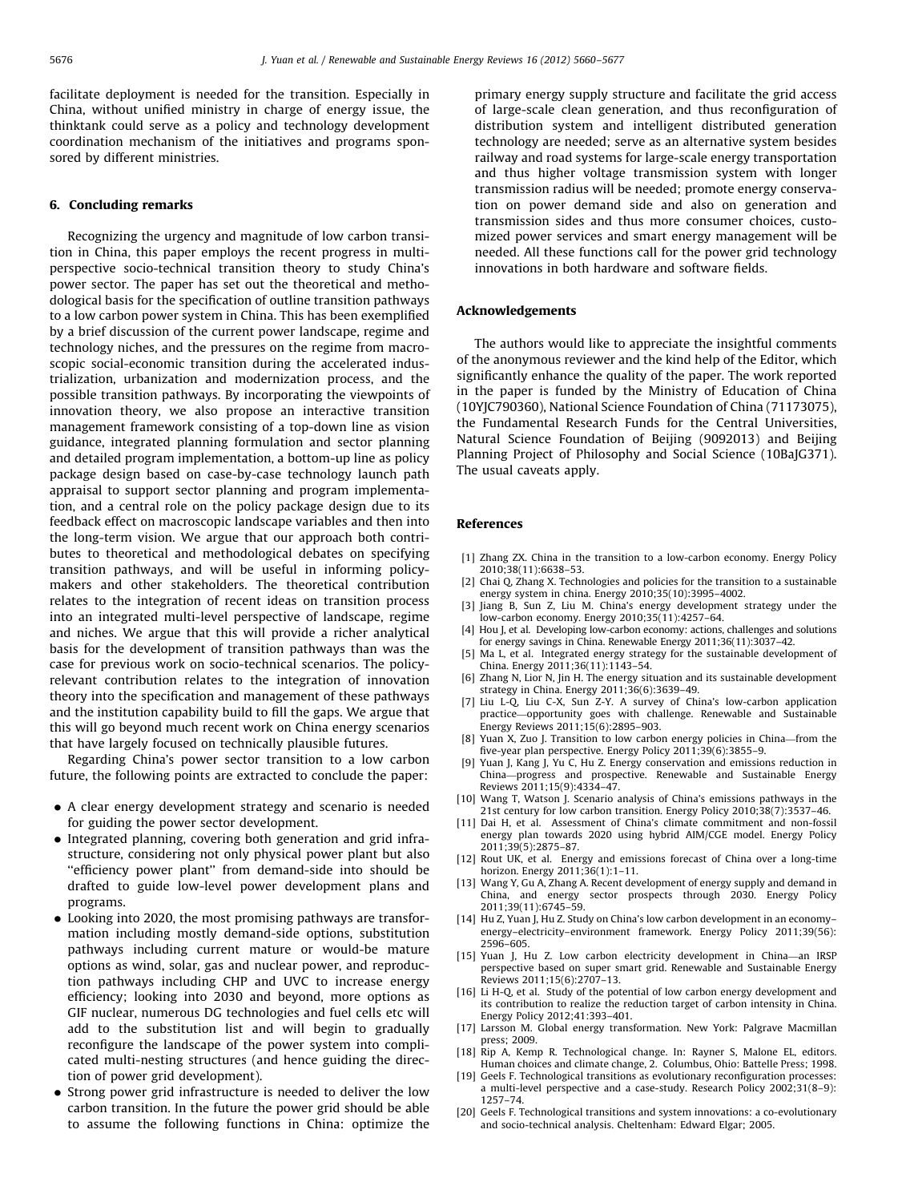<span id="page-16-0"></span>facilitate deployment is needed for the transition. Especially in China, without unified ministry in charge of energy issue, the thinktank could serve as a policy and technology development coordination mechanism of the initiatives and programs sponsored by different ministries.

#### 6. Concluding remarks

Recognizing the urgency and magnitude of low carbon transition in China, this paper employs the recent progress in multiperspective socio-technical transition theory to study China's power sector. The paper has set out the theoretical and methodological basis for the specification of outline transition pathways to a low carbon power system in China. This has been exemplified by a brief discussion of the current power landscape, regime and technology niches, and the pressures on the regime from macroscopic social-economic transition during the accelerated industrialization, urbanization and modernization process, and the possible transition pathways. By incorporating the viewpoints of innovation theory, we also propose an interactive transition management framework consisting of a top-down line as vision guidance, integrated planning formulation and sector planning and detailed program implementation, a bottom-up line as policy package design based on case-by-case technology launch path appraisal to support sector planning and program implementation, and a central role on the policy package design due to its feedback effect on macroscopic landscape variables and then into the long-term vision. We argue that our approach both contributes to theoretical and methodological debates on specifying transition pathways, and will be useful in informing policymakers and other stakeholders. The theoretical contribution relates to the integration of recent ideas on transition process into an integrated multi-level perspective of landscape, regime and niches. We argue that this will provide a richer analytical basis for the development of transition pathways than was the case for previous work on socio-technical scenarios. The policyrelevant contribution relates to the integration of innovation theory into the specification and management of these pathways and the institution capability build to fill the gaps. We argue that this will go beyond much recent work on China energy scenarios that have largely focused on technically plausible futures.

Regarding China's power sector transition to a low carbon future, the following points are extracted to conclude the paper:

- A clear energy development strategy and scenario is needed for guiding the power sector development.
- Integrated planning, covering both generation and grid infrastructure, considering not only physical power plant but also ''efficiency power plant'' from demand-side into should be drafted to guide low-level power development plans and programs.
- $\bullet$  Looking into 2020, the most promising pathways are transformation including mostly demand-side options, substitution pathways including current mature or would-be mature options as wind, solar, gas and nuclear power, and reproduction pathways including CHP and UVC to increase energy efficiency; looking into 2030 and beyond, more options as GIF nuclear, numerous DG technologies and fuel cells etc will add to the substitution list and will begin to gradually reconfigure the landscape of the power system into complicated multi-nesting structures (and hence guiding the direction of power grid development).
- Strong power grid infrastructure is needed to deliver the low carbon transition. In the future the power grid should be able to assume the following functions in China: optimize the

primary energy supply structure and facilitate the grid access of large-scale clean generation, and thus reconfiguration of distribution system and intelligent distributed generation technology are needed; serve as an alternative system besides railway and road systems for large-scale energy transportation and thus higher voltage transmission system with longer transmission radius will be needed; promote energy conservation on power demand side and also on generation and transmission sides and thus more consumer choices, customized power services and smart energy management will be needed. All these functions call for the power grid technology innovations in both hardware and software fields.

#### Acknowledgements

The authors would like to appreciate the insightful comments of the anonymous reviewer and the kind help of the Editor, which significantly enhance the quality of the paper. The work reported in the paper is funded by the Ministry of Education of China (10YJC790360), National Science Foundation of China (71173075), the Fundamental Research Funds for the Central Universities, Natural Science Foundation of Beijing (9092013) and Beijing Planning Project of Philosophy and Social Science (10BaJG371). The usual caveats apply.

#### References

- [1] Zhang ZX. China in the transition to a low-carbon economy. Energy Policy 2010;38(11):6638–53.
- [2] Chai Q, Zhang X. Technologies and policies for the transition to a sustainable energy system in china. Energy 2010;35(10):3995–4002.
- [3] Jiang B, Sun Z, Liu M. China's energy development strategy under the low-carbon economy. Energy 2010;35(11):4257–64.
- [4] Hou J, et al. Developing low-carbon economy: actions, challenges and solutions for energy savings in China. Renewable Energy 2011;36(11):3037–42.
- [5] Ma L, et al. Integrated energy strategy for the sustainable development of China. Energy 2011;36(11):1143–54.
- [6] Zhang N, Lior N, Jin H. The energy situation and its sustainable development strategy in China. Energy 2011;36(6):3639–49.
- [7] Liu L-Q, Liu C-X, Sun Z-Y. A survey of China's low-carbon application practice—opportunity goes with challenge. Renewable and Sustainable Energy Reviews 2011;15(6):2895–903.
- [8] Yuan X, Zuo J. Transition to low carbon energy policies in China—from the five-year plan perspective. Energy Policy 2011;39(6):3855–9.
- [9] Yuan J, Kang J, Yu C, Hu Z. Energy conservation and emissions reduction in China—progress and prospective. Renewable and Sustainable Energy Reviews 2011;15(9):4334–47.
- [10] Wang T, Watson J. Scenario analysis of China's emissions pathways in the 21st century for low carbon transition. Energy Policy 2010;38(7):3537–46.
- [11] Dai H, et al. Assessment of China's climate commitment and non-fossil energy plan towards 2020 using hybrid AIM/CGE model. Energy Policy 2011;39(5):2875–87.
- [12] Rout UK, et al. Energy and emissions forecast of China over a long-time horizon. Energy 2011;36(1):1–11.
- [13] Wang Y, Gu A, Zhang A. Recent development of energy supply and demand in China, and energy sector prospects through 2030. Energy Policy 2011;39(11):6745–59.
- [14] Hu Z, Yuan J, Hu Z. Study on China's low carbon development in an economy– energy–electricity–environment framework. Energy Policy 2011;39(56): 2596–605.
- [15] Yuan J, Hu Z. Low carbon electricity development in China—an IRSP perspective based on super smart grid. Renewable and Sustainable Energy Reviews 2011;15(6):2707–13.
- [16] Li H-Q, et al. Study of the potential of low carbon energy development and its contribution to realize the reduction target of carbon intensity in China. Energy Policy 2012;41:393–401.
- [17] Larsson M. Global energy transformation. New York: Palgrave Macmillan press; 2009.
- [18] Rip A, Kemp R. Technological change. In: Rayner S, Malone EL, editors. Human choices and climate change, 2. Columbus, Ohio: Battelle Press; 1998.
- [19] Geels F. Technological transitions as evolutionary reconfiguration processes: a multi-level perspective and a case-study. Research Policy 2002;31(8–9): 1257–74.
- [20] Geels F. Technological transitions and system innovations: a co-evolutionary and socio-technical analysis. Cheltenham: Edward Elgar; 2005.